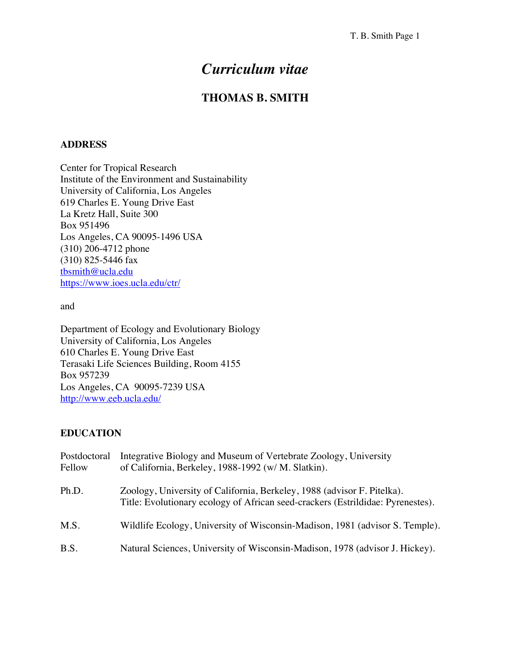# *Curriculum vitae*

# **THOMAS B. SMITH**

#### **ADDRESS**

Center for Tropical Research Institute of the Environment and Sustainability University of California, Los Angeles 619 Charles E. Young Drive East La Kretz Hall, Suite 300 Box 951496 Los Angeles, CA 90095-1496 USA (310) 206-4712 phone (310) 825-5446 fax tbsmith@ucla.edu https://www.ioes.ucla.edu/ctr/

and

Department of Ecology and Evolutionary Biology University of California, Los Angeles 610 Charles E. Young Drive East Terasaki Life Sciences Building, Room 4155 Box 957239 Los Angeles, CA 90095-7239 USA http://www.eeb.ucla.edu/

#### **EDUCATION**

| Postdoctoral<br>Fellow | Integrative Biology and Museum of Vertebrate Zoology, University<br>of California, Berkeley, 1988-1992 (w/ M. Slatkin).                                    |
|------------------------|------------------------------------------------------------------------------------------------------------------------------------------------------------|
| Ph.D.                  | Zoology, University of California, Berkeley, 1988 (advisor F. Pitelka).<br>Title: Evolutionary ecology of African seed-crackers (Estrildidae: Pyrenestes). |
| M.S.                   | Wildlife Ecology, University of Wisconsin-Madison, 1981 (advisor S. Temple).                                                                               |
| B.S.                   | Natural Sciences, University of Wisconsin-Madison, 1978 (advisor J. Hickey).                                                                               |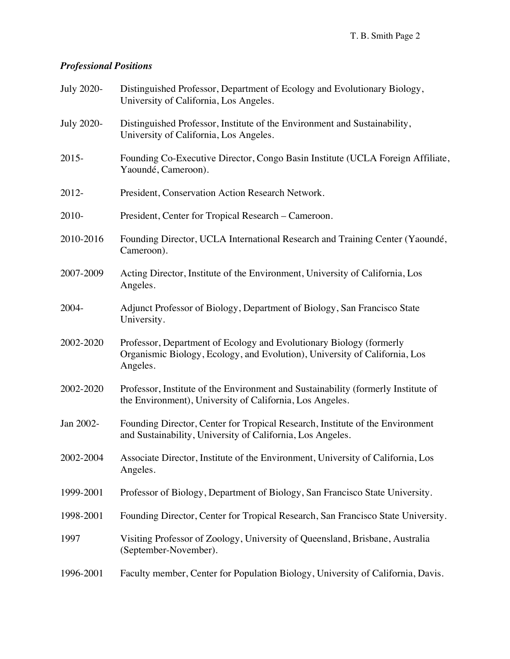# *Professional Positions*

| <b>July 2020-</b> | Distinguished Professor, Department of Ecology and Evolutionary Biology,<br>University of California, Los Angeles.                                            |
|-------------------|---------------------------------------------------------------------------------------------------------------------------------------------------------------|
| <b>July 2020-</b> | Distinguished Professor, Institute of the Environment and Sustainability,<br>University of California, Los Angeles.                                           |
| $2015 -$          | Founding Co-Executive Director, Congo Basin Institute (UCLA Foreign Affiliate,<br>Yaoundé, Cameroon).                                                         |
| 2012-             | President, Conservation Action Research Network.                                                                                                              |
| 2010-             | President, Center for Tropical Research - Cameroon.                                                                                                           |
| 2010-2016         | Founding Director, UCLA International Research and Training Center (Yaoundé,<br>Cameroon).                                                                    |
| 2007-2009         | Acting Director, Institute of the Environment, University of California, Los<br>Angeles.                                                                      |
| 2004-             | Adjunct Professor of Biology, Department of Biology, San Francisco State<br>University.                                                                       |
| 2002-2020         | Professor, Department of Ecology and Evolutionary Biology (formerly<br>Organismic Biology, Ecology, and Evolution), University of California, Los<br>Angeles. |
| 2002-2020         | Professor, Institute of the Environment and Sustainability (formerly Institute of<br>the Environment), University of California, Los Angeles.                 |
| Jan 2002-         | Founding Director, Center for Tropical Research, Institute of the Environment<br>and Sustainability, University of California, Los Angeles.                   |
| 2002-2004         | Associate Director, Institute of the Environment, University of California, Los<br>Angeles.                                                                   |
| 1999-2001         | Professor of Biology, Department of Biology, San Francisco State University.                                                                                  |
| 1998-2001         | Founding Director, Center for Tropical Research, San Francisco State University.                                                                              |
| 1997              | Visiting Professor of Zoology, University of Queensland, Brisbane, Australia<br>(September-November).                                                         |
| 1996-2001         | Faculty member, Center for Population Biology, University of California, Davis.                                                                               |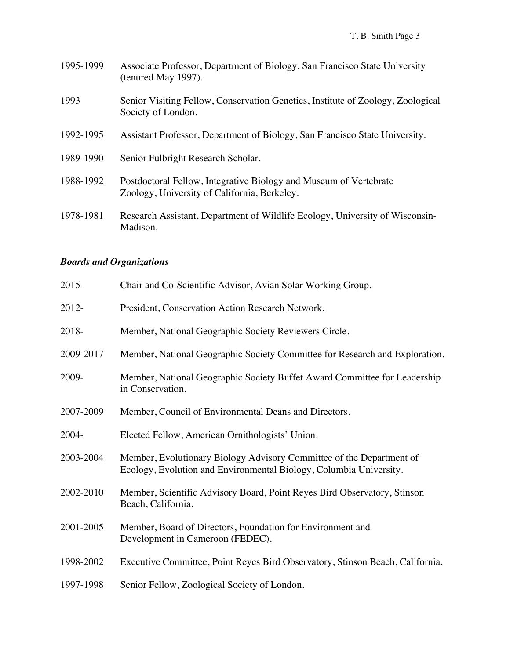- 1995-1999 Associate Professor, Department of Biology, San Francisco State University (tenured May 1997).
- 1993 Senior Visiting Fellow, Conservation Genetics, Institute of Zoology, Zoological Society of London.
- 1992-1995 Assistant Professor, Department of Biology, San Francisco State University.
- 1989-1990 Senior Fulbright Research Scholar.
- 1988-1992 Postdoctoral Fellow, Integrative Biology and Museum of Vertebrate Zoology, University of California, Berkeley.
- 1978-1981 Research Assistant, Department of Wildlife Ecology, University of Wisconsin-Madison.

#### *Boards and Organizations*

| $2015 -$  | Chair and Co-Scientific Advisor, Avian Solar Working Group.                                                                                |
|-----------|--------------------------------------------------------------------------------------------------------------------------------------------|
| 2012-     | President, Conservation Action Research Network.                                                                                           |
| 2018-     | Member, National Geographic Society Reviewers Circle.                                                                                      |
| 2009-2017 | Member, National Geographic Society Committee for Research and Exploration.                                                                |
| 2009-     | Member, National Geographic Society Buffet Award Committee for Leadership<br>in Conservation.                                              |
| 2007-2009 | Member, Council of Environmental Deans and Directors.                                                                                      |
| 2004-     | Elected Fellow, American Ornithologists' Union.                                                                                            |
| 2003-2004 | Member, Evolutionary Biology Advisory Committee of the Department of<br>Ecology, Evolution and Environmental Biology, Columbia University. |
| 2002-2010 | Member, Scientific Advisory Board, Point Reyes Bird Observatory, Stinson<br>Beach, California.                                             |
| 2001-2005 | Member, Board of Directors, Foundation for Environment and<br>Development in Cameroon (FEDEC).                                             |
| 1998-2002 | Executive Committee, Point Reyes Bird Observatory, Stinson Beach, California.                                                              |
| 1997-1998 | Senior Fellow, Zoological Society of London.                                                                                               |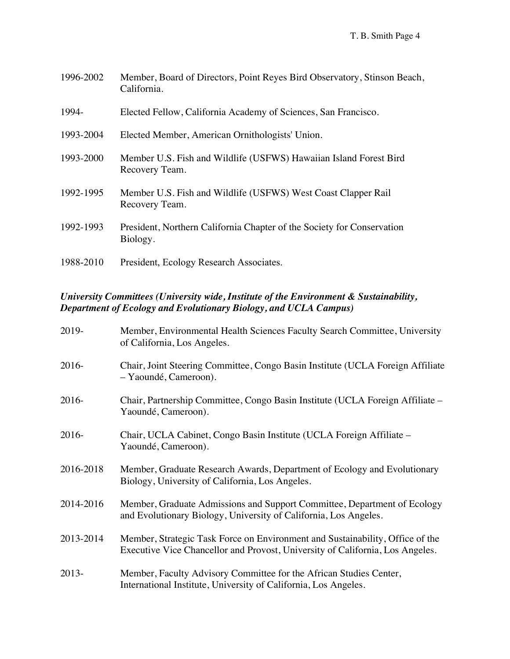| 1996-2002 | Member, Board of Directors, Point Reyes Bird Observatory, Stinson Beach,<br>California. |
|-----------|-----------------------------------------------------------------------------------------|
| 1994-     | Elected Fellow, California Academy of Sciences, San Francisco.                          |
| 1993-2004 | Elected Member, American Ornithologists' Union.                                         |
| 1993-2000 | Member U.S. Fish and Wildlife (USFWS) Hawaiian Island Forest Bird<br>Recovery Team.     |
| 1992-1995 | Member U.S. Fish and Wildlife (USFWS) West Coast Clapper Rail<br>Recovery Team.         |
| 1992-1993 | President, Northern California Chapter of the Society for Conservation<br>Biology.      |
| 1988-2010 | President, Ecology Research Associates.                                                 |

## *University Committees (University wide, Institute of the Environment & Sustainability, Department of Ecology and Evolutionary Biology, and UCLA Campus)*

| 2019-     | Member, Environmental Health Sciences Faculty Search Committee, University<br>of California, Los Angeles.                                                      |
|-----------|----------------------------------------------------------------------------------------------------------------------------------------------------------------|
| 2016-     | Chair, Joint Steering Committee, Congo Basin Institute (UCLA Foreign Affiliate<br>- Yaoundé, Cameroon).                                                        |
| 2016-     | Chair, Partnership Committee, Congo Basin Institute (UCLA Foreign Affiliate –<br>Yaoundé, Cameroon).                                                           |
| 2016-     | Chair, UCLA Cabinet, Congo Basin Institute (UCLA Foreign Affiliate –<br>Yaoundé, Cameroon).                                                                    |
| 2016-2018 | Member, Graduate Research Awards, Department of Ecology and Evolutionary<br>Biology, University of California, Los Angeles.                                    |
| 2014-2016 | Member, Graduate Admissions and Support Committee, Department of Ecology<br>and Evolutionary Biology, University of California, Los Angeles.                   |
| 2013-2014 | Member, Strategic Task Force on Environment and Sustainability, Office of the<br>Executive Vice Chancellor and Provost, University of California, Los Angeles. |
| 2013-     | Member, Faculty Advisory Committee for the African Studies Center,<br>International Institute, University of California, Los Angeles.                          |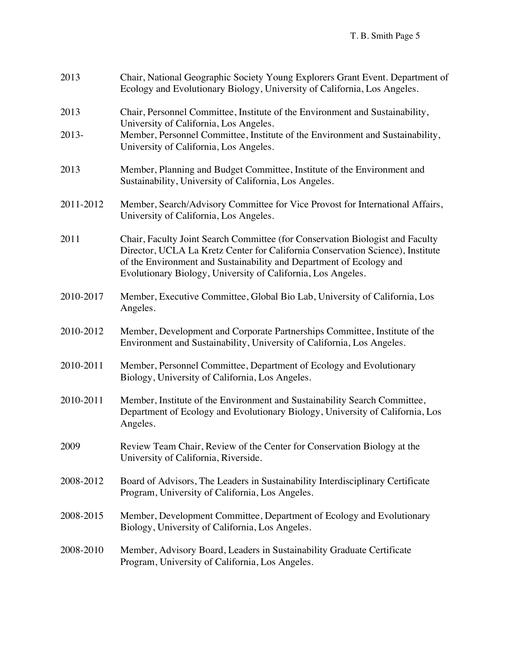| 2013      | Chair, National Geographic Society Young Explorers Grant Event. Department of<br>Ecology and Evolutionary Biology, University of California, Los Angeles.                                                                                                                                              |
|-----------|--------------------------------------------------------------------------------------------------------------------------------------------------------------------------------------------------------------------------------------------------------------------------------------------------------|
| 2013      | Chair, Personnel Committee, Institute of the Environment and Sustainability,                                                                                                                                                                                                                           |
| 2013-     | University of California, Los Angeles.<br>Member, Personnel Committee, Institute of the Environment and Sustainability,<br>University of California, Los Angeles.                                                                                                                                      |
| 2013      | Member, Planning and Budget Committee, Institute of the Environment and<br>Sustainability, University of California, Los Angeles.                                                                                                                                                                      |
| 2011-2012 | Member, Search/Advisory Committee for Vice Provost for International Affairs,<br>University of California, Los Angeles.                                                                                                                                                                                |
| 2011      | Chair, Faculty Joint Search Committee (for Conservation Biologist and Faculty<br>Director, UCLA La Kretz Center for California Conservation Science), Institute<br>of the Environment and Sustainability and Department of Ecology and<br>Evolutionary Biology, University of California, Los Angeles. |
| 2010-2017 | Member, Executive Committee, Global Bio Lab, University of California, Los<br>Angeles.                                                                                                                                                                                                                 |
| 2010-2012 | Member, Development and Corporate Partnerships Committee, Institute of the<br>Environment and Sustainability, University of California, Los Angeles.                                                                                                                                                   |
| 2010-2011 | Member, Personnel Committee, Department of Ecology and Evolutionary<br>Biology, University of California, Los Angeles.                                                                                                                                                                                 |
| 2010-2011 | Member, Institute of the Environment and Sustainability Search Committee,<br>Department of Ecology and Evolutionary Biology, University of California, Los<br>Angeles.                                                                                                                                 |
| 2009      | Review Team Chair, Review of the Center for Conservation Biology at the<br>University of California, Riverside.                                                                                                                                                                                        |
| 2008-2012 | Board of Advisors, The Leaders in Sustainability Interdisciplinary Certificate<br>Program, University of California, Los Angeles.                                                                                                                                                                      |
| 2008-2015 | Member, Development Committee, Department of Ecology and Evolutionary<br>Biology, University of California, Los Angeles.                                                                                                                                                                               |
| 2008-2010 | Member, Advisory Board, Leaders in Sustainability Graduate Certificate<br>Program, University of California, Los Angeles.                                                                                                                                                                              |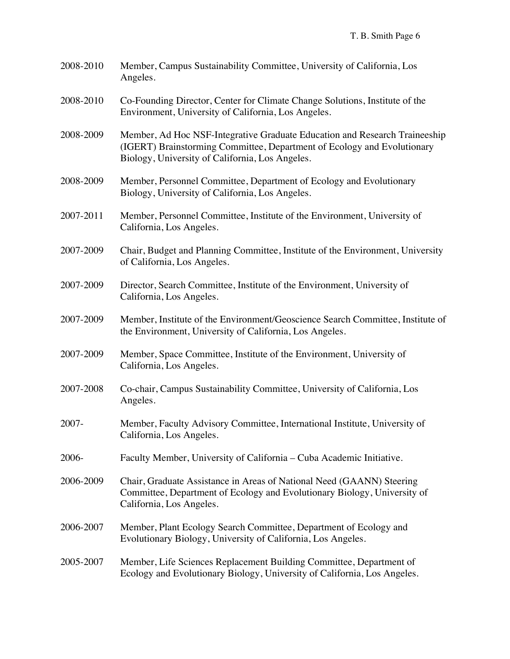- 2008-2010 Member, Campus Sustainability Committee, University of California, Los Angeles.
- 2008-2010 Co-Founding Director, Center for Climate Change Solutions, Institute of the Environment, University of California, Los Angeles.
- 2008-2009 Member, Ad Hoc NSF-Integrative Graduate Education and Research Traineeship (IGERT) Brainstorming Committee, Department of Ecology and Evolutionary Biology, University of California, Los Angeles.
- 2008-2009 Member, Personnel Committee, Department of Ecology and Evolutionary Biology, University of California, Los Angeles.
- 2007-2011 Member, Personnel Committee, Institute of the Environment, University of California, Los Angeles.
- 2007-2009 Chair, Budget and Planning Committee, Institute of the Environment, University of California, Los Angeles.
- 2007-2009 Director, Search Committee, Institute of the Environment, University of California, Los Angeles.
- 2007-2009 Member, Institute of the Environment/Geoscience Search Committee, Institute of the Environment, University of California, Los Angeles.
- 2007-2009 Member, Space Committee, Institute of the Environment, University of California, Los Angeles.
- 2007-2008 Co-chair, Campus Sustainability Committee, University of California, Los Angeles.
- 2007- Member, Faculty Advisory Committee, International Institute, University of California, Los Angeles.
- 2006- Faculty Member, University of California Cuba Academic Initiative.
- 2006-2009 Chair, Graduate Assistance in Areas of National Need (GAANN) Steering Committee, Department of Ecology and Evolutionary Biology, University of California, Los Angeles.
- 2006-2007 Member, Plant Ecology Search Committee, Department of Ecology and Evolutionary Biology, University of California, Los Angeles.
- 2005-2007 Member, Life Sciences Replacement Building Committee, Department of Ecology and Evolutionary Biology, University of California, Los Angeles.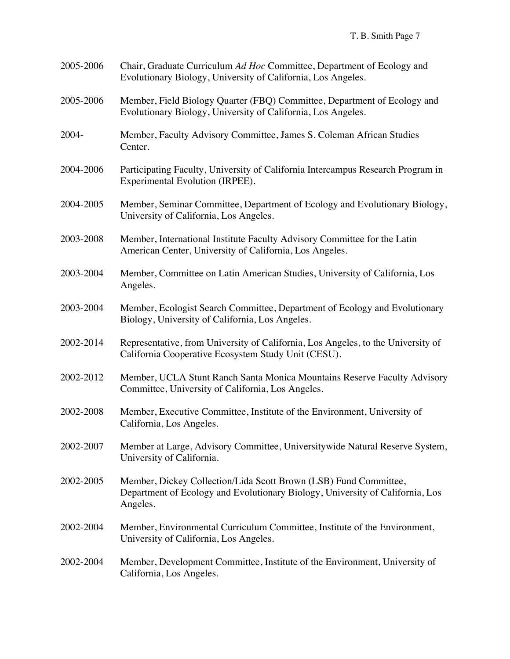| 2005-2006 | Chair, Graduate Curriculum Ad Hoc Committee, Department of Ecology and<br>Evolutionary Biology, University of California, Los Angeles.                        |
|-----------|---------------------------------------------------------------------------------------------------------------------------------------------------------------|
| 2005-2006 | Member, Field Biology Quarter (FBQ) Committee, Department of Ecology and<br>Evolutionary Biology, University of California, Los Angeles.                      |
| 2004-     | Member, Faculty Advisory Committee, James S. Coleman African Studies<br>Center.                                                                               |
| 2004-2006 | Participating Faculty, University of California Intercampus Research Program in<br>Experimental Evolution (IRPEE).                                            |
| 2004-2005 | Member, Seminar Committee, Department of Ecology and Evolutionary Biology,<br>University of California, Los Angeles.                                          |
| 2003-2008 | Member, International Institute Faculty Advisory Committee for the Latin<br>American Center, University of California, Los Angeles.                           |
| 2003-2004 | Member, Committee on Latin American Studies, University of California, Los<br>Angeles.                                                                        |
| 2003-2004 | Member, Ecologist Search Committee, Department of Ecology and Evolutionary<br>Biology, University of California, Los Angeles.                                 |
| 2002-2014 | Representative, from University of California, Los Angeles, to the University of<br>California Cooperative Ecosystem Study Unit (CESU).                       |
| 2002-2012 | Member, UCLA Stunt Ranch Santa Monica Mountains Reserve Faculty Advisory<br>Committee, University of California, Los Angeles.                                 |
| 2002-2008 | Member, Executive Committee, Institute of the Environment, University of<br>California, Los Angeles.                                                          |
| 2002-2007 | Member at Large, Advisory Committee, Universitywide Natural Reserve System,<br>University of California.                                                      |
| 2002-2005 | Member, Dickey Collection/Lida Scott Brown (LSB) Fund Committee,<br>Department of Ecology and Evolutionary Biology, University of California, Los<br>Angeles. |
| 2002-2004 | Member, Environmental Curriculum Committee, Institute of the Environment,<br>University of California, Los Angeles.                                           |
| 2002-2004 | Member, Development Committee, Institute of the Environment, University of<br>California, Los Angeles.                                                        |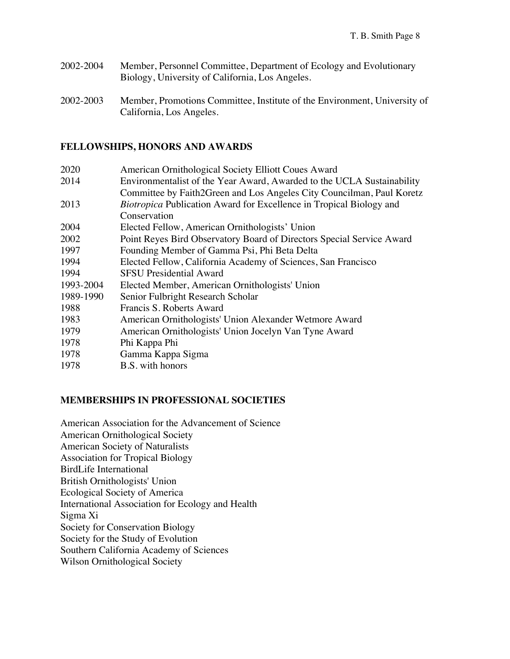- 2002-2004 Member, Personnel Committee, Department of Ecology and Evolutionary Biology, University of California, Los Angeles.
- 2002-2003 Member, Promotions Committee, Institute of the Environment, University of California, Los Angeles.

#### **FELLOWSHIPS, HONORS AND AWARDS**

| 2020      | American Ornithological Society Elliott Coues Award                        |
|-----------|----------------------------------------------------------------------------|
| 2014      | Environmentalist of the Year Award, Awarded to the UCLA Sustainability     |
|           | Committee by Faith2Green and Los Angeles City Councilman, Paul Koretz      |
| 2013      | <i>Biotropica</i> Publication Award for Excellence in Tropical Biology and |
|           | Conservation                                                               |
| 2004      | Elected Fellow, American Ornithologists' Union                             |
| 2002      | Point Reyes Bird Observatory Board of Directors Special Service Award      |
| 1997      | Founding Member of Gamma Psi, Phi Beta Delta                               |
| 1994      | Elected Fellow, California Academy of Sciences, San Francisco              |
| 1994      | <b>SFSU</b> Presidential Award                                             |
| 1993-2004 | Elected Member, American Ornithologists' Union                             |
| 1989-1990 | Senior Fulbright Research Scholar                                          |
| 1988      | Francis S. Roberts Award                                                   |
| 1983      | American Ornithologists' Union Alexander Wetmore Award                     |
| 1979      | American Ornithologists' Union Jocelyn Van Tyne Award                      |
| 1978      | Phi Kappa Phi                                                              |
| 1978      | Gamma Kappa Sigma                                                          |
| 1978      | B.S. with honors                                                           |

#### **MEMBERSHIPS IN PROFESSIONAL SOCIETIES**

American Association for the Advancement of Science American Ornithological Society American Society of Naturalists Association for Tropical Biology BirdLife International British Ornithologists' Union Ecological Society of America International Association for Ecology and Health Sigma Xi Society for Conservation Biology Society for the Study of Evolution Southern California Academy of Sciences Wilson Ornithological Society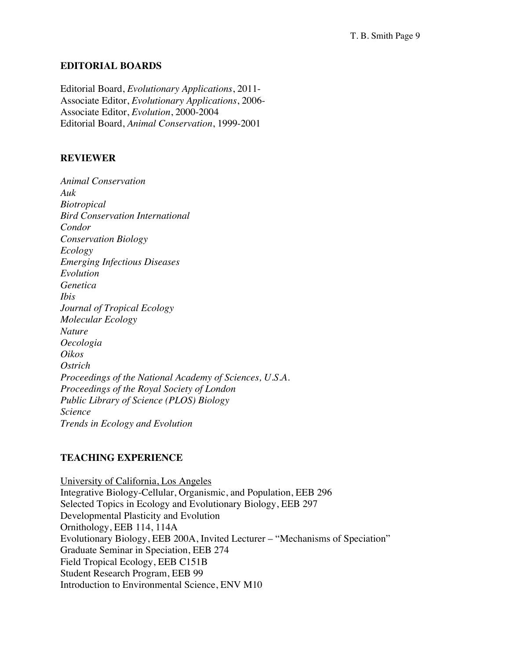#### **EDITORIAL BOARDS**

Editorial Board, *Evolutionary Applications*, 2011- Associate Editor, *Evolutionary Applications*, 2006- Associate Editor, *Evolution*, 2000-2004 Editorial Board, *Animal Conservation*, 1999-2001

#### **REVIEWER**

*Animal Conservation Auk Biotropical Bird Conservation International Condor Conservation Biology Ecology Emerging Infectious Diseases Evolution Genetica Ibis Journal of Tropical Ecology Molecular Ecology Nature Oecologia Oikos Ostrich Proceedings of the National Academy of Sciences, U.S.A. Proceedings of the Royal Society of London Public Library of Science (PLOS) Biology Science Trends in Ecology and Evolution*

### **TEACHING EXPERIENCE**

University of California, Los Angeles Integrative Biology-Cellular, Organismic, and Population, EEB 296 Selected Topics in Ecology and Evolutionary Biology, EEB 297 Developmental Plasticity and Evolution Ornithology, EEB 114, 114A Evolutionary Biology, EEB 200A, Invited Lecturer – "Mechanisms of Speciation" Graduate Seminar in Speciation, EEB 274 Field Tropical Ecology, EEB C151B Student Research Program, EEB 99 Introduction to Environmental Science, ENV M10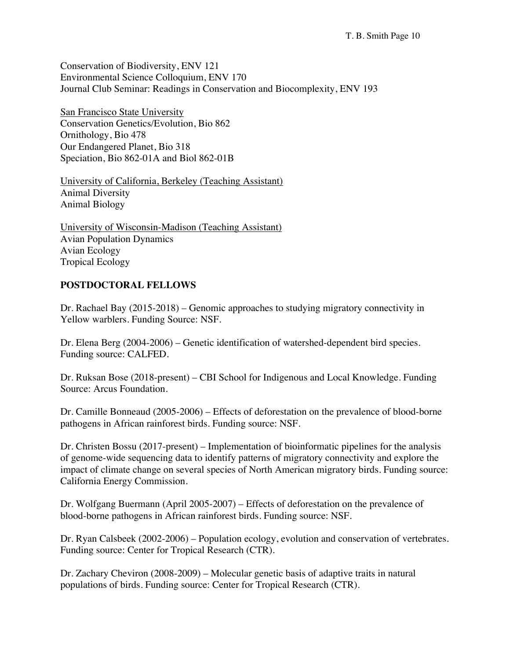Conservation of Biodiversity, ENV 121 Environmental Science Colloquium, ENV 170 Journal Club Seminar: Readings in Conservation and Biocomplexity, ENV 193

San Francisco State University Conservation Genetics/Evolution, Bio 862 Ornithology, Bio 478 Our Endangered Planet, Bio 318 Speciation, Bio 862-01A and Biol 862-01B

University of California, Berkeley (Teaching Assistant) Animal Diversity Animal Biology

University of Wisconsin-Madison (Teaching Assistant) Avian Population Dynamics Avian Ecology Tropical Ecology

#### **POSTDOCTORAL FELLOWS**

Dr. Rachael Bay (2015-2018) – Genomic approaches to studying migratory connectivity in Yellow warblers. Funding Source: NSF.

Dr. Elena Berg (2004-2006) – Genetic identification of watershed-dependent bird species. Funding source: CALFED.

Dr. Ruksan Bose (2018-present) – CBI School for Indigenous and Local Knowledge. Funding Source: Arcus Foundation.

Dr. Camille Bonneaud (2005-2006) – Effects of deforestation on the prevalence of blood-borne pathogens in African rainforest birds. Funding source: NSF.

Dr. Christen Bossu (2017-present) – Implementation of bioinformatic pipelines for the analysis of genome-wide sequencing data to identify patterns of migratory connectivity and explore the impact of climate change on several species of North American migratory birds. Funding source: California Energy Commission.

Dr. Wolfgang Buermann (April 2005-2007) – Effects of deforestation on the prevalence of blood-borne pathogens in African rainforest birds. Funding source: NSF.

Dr. Ryan Calsbeek (2002-2006) – Population ecology, evolution and conservation of vertebrates. Funding source: Center for Tropical Research (CTR).

Dr. Zachary Cheviron (2008-2009) – Molecular genetic basis of adaptive traits in natural populations of birds. Funding source: Center for Tropical Research (CTR).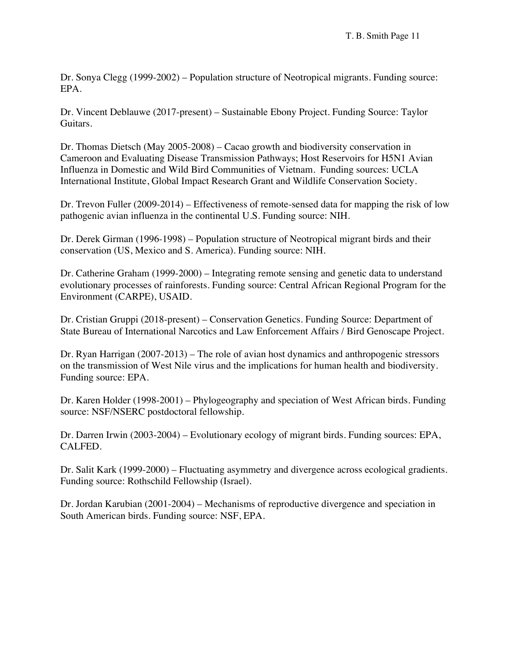Dr. Sonya Clegg (1999-2002) – Population structure of Neotropical migrants. Funding source: EPA.

Dr. Vincent Deblauwe (2017-present) – Sustainable Ebony Project. Funding Source: Taylor Guitars.

Dr. Thomas Dietsch (May 2005-2008) – Cacao growth and biodiversity conservation in Cameroon and Evaluating Disease Transmission Pathways; Host Reservoirs for H5N1 Avian Influenza in Domestic and Wild Bird Communities of Vietnam. Funding sources: UCLA International Institute, Global Impact Research Grant and Wildlife Conservation Society.

Dr. Trevon Fuller (2009-2014) – Effectiveness of remote-sensed data for mapping the risk of low pathogenic avian influenza in the continental U.S. Funding source: NIH.

Dr. Derek Girman (1996-1998) – Population structure of Neotropical migrant birds and their conservation (US, Mexico and S. America). Funding source: NIH.

Dr. Catherine Graham (1999-2000) – Integrating remote sensing and genetic data to understand evolutionary processes of rainforests. Funding source: Central African Regional Program for the Environment (CARPE), USAID.

Dr. Cristian Gruppi (2018-present) – Conservation Genetics. Funding Source: Department of State Bureau of International Narcotics and Law Enforcement Affairs / Bird Genoscape Project.

Dr. Ryan Harrigan (2007-2013) – The role of avian host dynamics and anthropogenic stressors on the transmission of West Nile virus and the implications for human health and biodiversity. Funding source: EPA.

Dr. Karen Holder (1998-2001) – Phylogeography and speciation of West African birds. Funding source: NSF/NSERC postdoctoral fellowship.

Dr. Darren Irwin (2003-2004) – Evolutionary ecology of migrant birds. Funding sources: EPA, CALFED.

Dr. Salit Kark (1999-2000) – Fluctuating asymmetry and divergence across ecological gradients. Funding source: Rothschild Fellowship (Israel).

Dr. Jordan Karubian (2001-2004) – Mechanisms of reproductive divergence and speciation in South American birds. Funding source: NSF, EPA.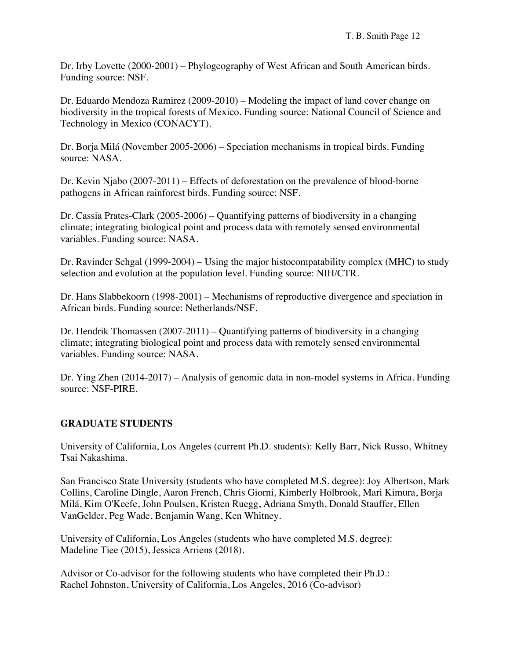Dr. Irby Lovette (2000-2001) – Phylogeography of West African and South American birds. Funding source: NSF.

Dr. Eduardo Mendoza Ramirez (2009-2010) – Modeling the impact of land cover change on biodiversity in the tropical forests of Mexico. Funding source: National Council of Science and Technology in Mexico (CONACYT).

Dr. Borja Milá (November 2005-2006) – Speciation mechanisms in tropical birds. Funding source: NASA.

Dr. Kevin Njabo (2007-2011) – Effects of deforestation on the prevalence of blood-borne pathogens in African rainforest birds. Funding source: NSF.

Dr. Cassia Prates-Clark (2005-2006) – Quantifying patterns of biodiversity in a changing climate; integrating biological point and process data with remotely sensed environmental variables. Funding source: NASA.

Dr. Ravinder Sehgal (1999-2004) – Using the major histocompatability complex (MHC) to study selection and evolution at the population level. Funding source: NIH/CTR.

Dr. Hans Slabbekoorn (1998-2001) – Mechanisms of reproductive divergence and speciation in African birds. Funding source: Netherlands/NSF.

Dr. Hendrik Thomassen (2007-2011) – Quantifying patterns of biodiversity in a changing climate; integrating biological point and process data with remotely sensed environmental variables. Funding source: NASA.

Dr. Ying Zhen (2014-2017) – Analysis of genomic data in non-model systems in Africa. Funding source: NSF-PIRE.

## **GRADUATE STUDENTS**

University of California, Los Angeles (current Ph.D. students): Kelly Barr, Nick Russo, Whitney Tsai Nakashima.

San Francisco State University (students who have completed M.S. degree): Joy Albertson, Mark Collins, Caroline Dingle, Aaron French, Chris Giorni, Kimberly Holbrook, Mari Kimura, Borja Milá, Kim O'Keefe, John Poulsen, Kristen Ruegg, Adriana Smyth, Donald Stauffer, Ellen VanGelder, Peg Wade, Benjamin Wang, Ken Whitney.

University of California, Los Angeles (students who have completed M.S. degree): Madeline Tiee (2015), Jessica Arriens (2018).

Advisor or Co-advisor for the following students who have completed their Ph.D.: Rachel Johnston, University of California, Los Angeles, 2016 (Co-advisor)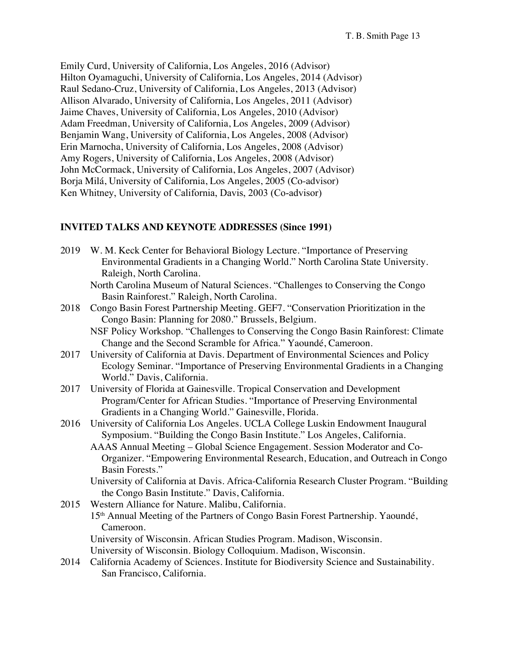Emily Curd, University of California, Los Angeles, 2016 (Advisor) Hilton Oyamaguchi, University of California, Los Angeles, 2014 (Advisor) Raul Sedano-Cruz, University of California, Los Angeles, 2013 (Advisor) Allison Alvarado, University of California, Los Angeles, 2011 (Advisor) Jaime Chaves, University of California, Los Angeles, 2010 (Advisor) Adam Freedman, University of California, Los Angeles, 2009 (Advisor) Benjamin Wang, University of California, Los Angeles, 2008 (Advisor) Erin Marnocha, University of California, Los Angeles, 2008 (Advisor) Amy Rogers, University of California, Los Angeles, 2008 (Advisor) John McCormack, University of California, Los Angeles, 2007 (Advisor) Borja Milá, University of California, Los Angeles, 2005 (Co-advisor) Ken Whitney, University of California, Davis, 2003 (Co-advisor)

#### **INVITED TALKS AND KEYNOTE ADDRESSES (Since 1991)**

| 2019 | W. M. Keck Center for Behavioral Biology Lecture. "Importance of Preserving<br>Environmental Gradients in a Changing World." North Carolina State University.<br>Raleigh, North Carolina.                                                                                                                                   |
|------|-----------------------------------------------------------------------------------------------------------------------------------------------------------------------------------------------------------------------------------------------------------------------------------------------------------------------------|
|      | North Carolina Museum of Natural Sciences. "Challenges to Conserving the Congo<br>Basin Rainforest." Raleigh, North Carolina.                                                                                                                                                                                               |
| 2018 | Congo Basin Forest Partnership Meeting. GEF7. "Conservation Prioritization in the<br>Congo Basin: Planning for 2080." Brussels, Belgium.                                                                                                                                                                                    |
|      | NSF Policy Workshop. "Challenges to Conserving the Congo Basin Rainforest: Climate<br>Change and the Second Scramble for Africa." Yaoundé, Cameroon.                                                                                                                                                                        |
| 2017 | University of California at Davis. Department of Environmental Sciences and Policy<br>Ecology Seminar. "Importance of Preserving Environmental Gradients in a Changing<br>World." Davis, California.                                                                                                                        |
| 2017 | University of Florida at Gainesville. Tropical Conservation and Development<br>Program/Center for African Studies. "Importance of Preserving Environmental<br>Gradients in a Changing World." Gainesville, Florida.                                                                                                         |
| 2016 | University of California Los Angeles. UCLA College Luskin Endowment Inaugural<br>Symposium. "Building the Congo Basin Institute." Los Angeles, California.<br>AAAS Annual Meeting – Global Science Engagement. Session Moderator and Co-<br>Organizer. "Empowering Environmental Research, Education, and Outreach in Congo |
|      | Basin Forests."<br>University of California at Davis. Africa-California Research Cluster Program. "Building                                                                                                                                                                                                                 |
|      | the Congo Basin Institute." Davis, California.                                                                                                                                                                                                                                                                              |
| 2015 | Western Alliance for Nature. Malibu, California.                                                                                                                                                                                                                                                                            |

15th Annual Meeting of the Partners of Congo Basin Forest Partnership. Yaoundé, Cameroon.

University of Wisconsin. African Studies Program. Madison, Wisconsin.

University of Wisconsin. Biology Colloquium. Madison, Wisconsin.

2014 California Academy of Sciences. Institute for Biodiversity Science and Sustainability. San Francisco, California.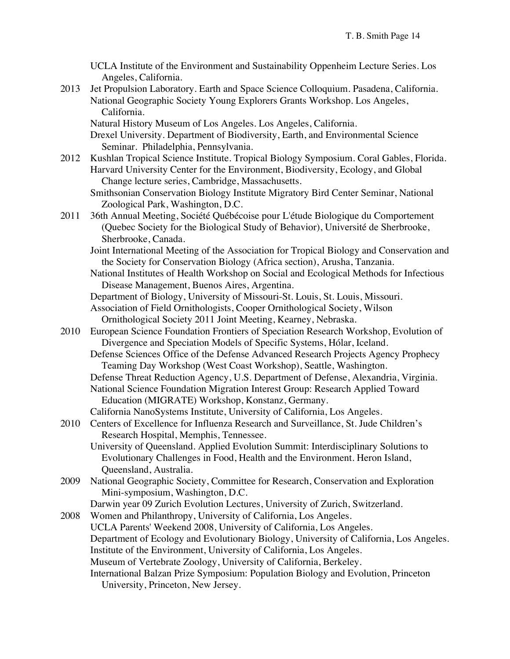- UCLA Institute of the Environment and Sustainability Oppenheim Lecture Series. Los Angeles, California.
- 2013 Jet Propulsion Laboratory. Earth and Space Science Colloquium. Pasadena, California. National Geographic Society Young Explorers Grants Workshop. Los Angeles, California.
	- Natural History Museum of Los Angeles. Los Angeles, California.
	- Drexel University. Department of Biodiversity, Earth, and Environmental Science Seminar. Philadelphia, Pennsylvania.
- 2012 Kushlan Tropical Science Institute. Tropical Biology Symposium. Coral Gables, Florida. Harvard University Center for the Environment, Biodiversity, Ecology, and Global Change lecture series, Cambridge, Massachusetts.
	- Smithsonian Conservation Biology Institute Migratory Bird Center Seminar, National Zoological Park, Washington, D.C.
- 2011 36th Annual Meeting, Société Québécoise pour L'étude Biologique du Comportement (Quebec Society for the Biological Study of Behavior), Université de Sherbrooke, Sherbrooke, Canada.
	- Joint International Meeting of the Association for Tropical Biology and Conservation and the Society for Conservation Biology (Africa section), Arusha, Tanzania.
	- National Institutes of Health Workshop on Social and Ecological Methods for Infectious Disease Management, Buenos Aires, Argentina.
	- Department of Biology, University of Missouri-St. Louis, St. Louis, Missouri.
	- Association of Field Ornithologists, Cooper Ornithological Society, Wilson Ornithological Society 2011 Joint Meeting, Kearney, Nebraska.
- 2010 European Science Foundation Frontiers of Speciation Research Workshop, Evolution of Divergence and Speciation Models of Specific Systems, Hólar, Iceland.
	- Defense Sciences Office of the Defense Advanced Research Projects Agency Prophecy Teaming Day Workshop (West Coast Workshop), Seattle, Washington.
	- Defense Threat Reduction Agency, U.S. Department of Defense, Alexandria, Virginia.
	- National Science Foundation Migration Interest Group: Research Applied Toward Education (MIGRATE) Workshop, Konstanz, Germany.
	- California NanoSystems Institute, University of California, Los Angeles.
- 2010 Centers of Excellence for Influenza Research and Surveillance, St. Jude Children's Research Hospital, Memphis, Tennessee.

University of Queensland. Applied Evolution Summit: Interdisciplinary Solutions to Evolutionary Challenges in Food, Health and the Environment. Heron Island, Queensland, Australia.

- 2009 National Geographic Society, Committee for Research, Conservation and Exploration Mini-symposium, Washington, D.C.
	- Darwin year 09 Zurich Evolution Lectures, University of Zurich, Switzerland.
- 2008 Women and Philanthropy, University of California, Los Angeles. UCLA Parents' Weekend 2008, University of California, Los Angeles. Department of Ecology and Evolutionary Biology, University of California, Los Angeles. Institute of the Environment, University of California, Los Angeles. Museum of Vertebrate Zoology, University of California, Berkeley. International Balzan Prize Symposium: Population Biology and Evolution, Princeton University, Princeton, New Jersey.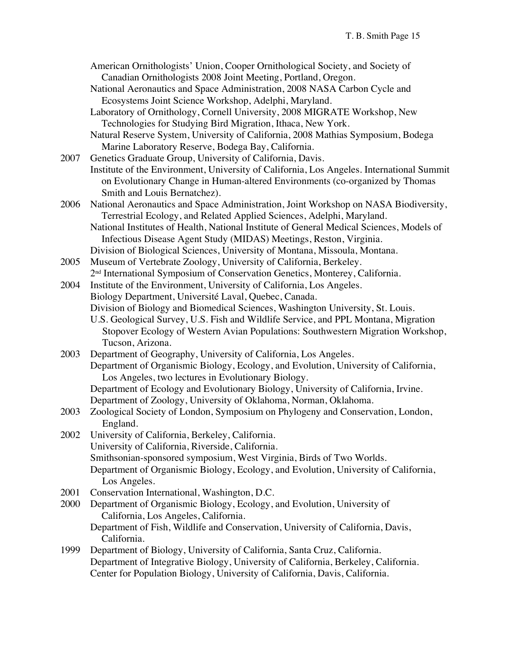American Ornithologists' Union, Cooper Ornithological Society, and Society of Canadian Ornithologists 2008 Joint Meeting, Portland, Oregon.

National Aeronautics and Space Administration, 2008 NASA Carbon Cycle and Ecosystems Joint Science Workshop, Adelphi, Maryland.

Laboratory of Ornithology, Cornell University, 2008 MIGRATE Workshop, New Technologies for Studying Bird Migration, Ithaca, New York.

Natural Reserve System, University of California, 2008 Mathias Symposium, Bodega Marine Laboratory Reserve, Bodega Bay, California.

2007 Genetics Graduate Group, University of California, Davis. Institute of the Environment, University of California, Los Angeles. International Summit on Evolutionary Change in Human-altered Environments (co-organized by Thomas Smith and Louis Bernatchez).

2006 National Aeronautics and Space Administration, Joint Workshop on NASA Biodiversity, Terrestrial Ecology, and Related Applied Sciences, Adelphi, Maryland. National Institutes of Health, National Institute of General Medical Sciences, Models of Infectious Disease Agent Study (MIDAS) Meetings, Reston, Virginia.

Division of Biological Sciences, University of Montana, Missoula, Montana.

2005 Museum of Vertebrate Zoology, University of California, Berkeley. 2nd International Symposium of Conservation Genetics, Monterey, California.

2004 Institute of the Environment, University of California, Los Angeles. Biology Department, Université Laval, Quebec, Canada. Division of Biology and Biomedical Sciences, Washington University, St. Louis. U.S. Geological Survey, U.S. Fish and Wildlife Service, and PPL Montana, Migration Stopover Ecology of Western Avian Populations: Southwestern Migration Workshop, Tucson, Arizona.

2003 Department of Geography, University of California, Los Angeles. Department of Organismic Biology, Ecology, and Evolution, University of California, Los Angeles, two lectures in Evolutionary Biology. Department of Ecology and Evolutionary Biology, University of California, Irvine. Department of Zoology, University of Oklahoma, Norman, Oklahoma.

2003 Zoological Society of London, Symposium on Phylogeny and Conservation, London, England.

2002 University of California, Berkeley, California. University of California, Riverside, California. Smithsonian-sponsored symposium, West Virginia, Birds of Two Worlds. Department of Organismic Biology, Ecology, and Evolution, University of California, Los Angeles.

2001 Conservation International, Washington, D.C.

2000 Department of Organismic Biology, Ecology, and Evolution, University of California, Los Angeles, California. Department of Fish, Wildlife and Conservation, University of California, Davis,

California.

1999 Department of Biology, University of California, Santa Cruz, California. Department of Integrative Biology, University of California, Berkeley, California. Center for Population Biology, University of California, Davis, California.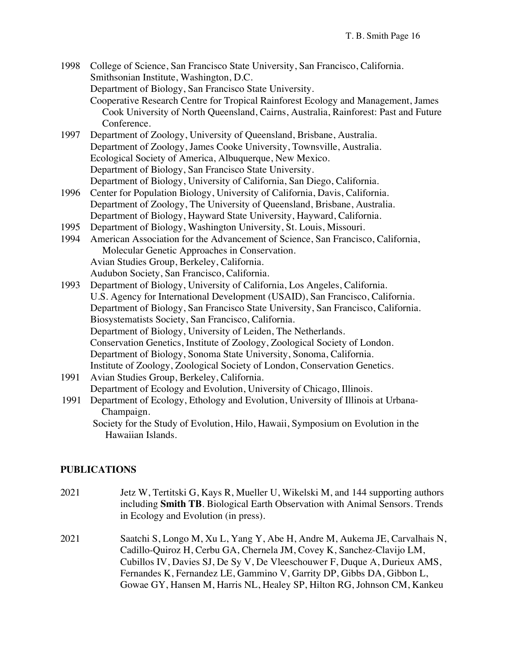- 1998 College of Science, San Francisco State University, San Francisco, California. Smithsonian Institute, Washington, D.C. Department of Biology, San Francisco State University. Cooperative Research Centre for Tropical Rainforest Ecology and Management, James Cook University of North Queensland, Cairns, Australia, Rainforest: Past and Future Conference.
- 1997 Department of Zoology, University of Queensland, Brisbane, Australia. Department of Zoology, James Cooke University, Townsville, Australia. Ecological Society of America, Albuquerque, New Mexico. Department of Biology, San Francisco State University. Department of Biology, University of California, San Diego, California.
- 1996 Center for Population Biology, University of California, Davis, California. Department of Zoology, The University of Queensland, Brisbane, Australia. Department of Biology, Hayward State University, Hayward, California.
- 1995 Department of Biology, Washington University, St. Louis, Missouri.
- 1994 American Association for the Advancement of Science, San Francisco, California, Molecular Genetic Approaches in Conservation. Avian Studies Group, Berkeley, California. Audubon Society, San Francisco, California.
- 1993 Department of Biology, University of California, Los Angeles, California. U.S. Agency for International Development (USAID), San Francisco, California. Department of Biology, San Francisco State University, San Francisco, California. Biosystematists Society, San Francisco, California. Department of Biology, University of Leiden, The Netherlands. Conservation Genetics, Institute of Zoology, Zoological Society of London. Department of Biology, Sonoma State University, Sonoma, California. Institute of Zoology, Zoological Society of London, Conservation Genetics.
- 1991 Avian Studies Group, Berkeley, California. Department of Ecology and Evolution, University of Chicago, Illinois.
- 1991 Department of Ecology, Ethology and Evolution, University of Illinois at Urbana-Champaign.

Society for the Study of Evolution, Hilo, Hawaii, Symposium on Evolution in the Hawaiian Islands.

#### **PUBLICATIONS**

- 2021 Jetz W, Tertitski G, Kays R, Mueller U, Wikelski M, and 144 supporting authors including **Smith TB**. Biological Earth Observation with Animal Sensors. Trends in Ecology and Evolution (in press).
- 2021 Saatchi S, Longo M, Xu L, Yang Y, Abe H, Andre M, Aukema JE, Carvalhais N, Cadillo-Quiroz H, Cerbu GA, Chernela JM, Covey K, Sanchez-Clavijo LM, Cubillos IV, Davies SJ, De Sy V, De Vleeschouwer F, Duque A, Durieux AMS, Fernandes K, Fernandez LE, Gammino V, Garrity DP, Gibbs DA, Gibbon L, Gowae GY, Hansen M, Harris NL, Healey SP, Hilton RG, Johnson CM, Kankeu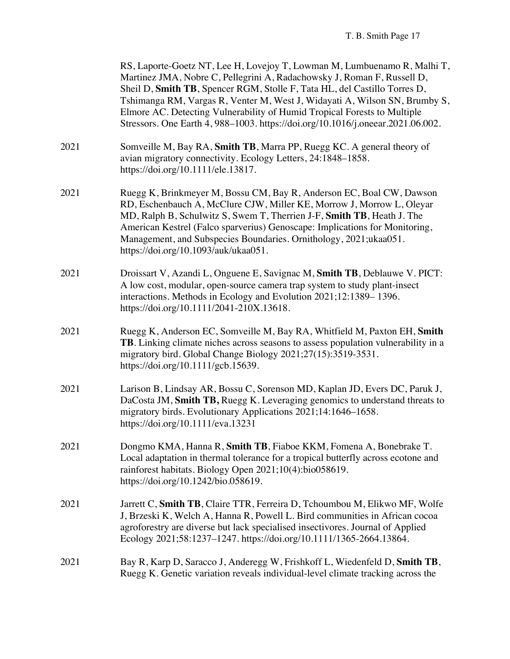|      | RS, Laporte-Goetz NT, Lee H, Lovejoy T, Lowman M, Lumbuenamo R, Malhi T,<br>Martinez JMA, Nobre C, Pellegrini A, Radachowsky J, Roman F, Russell D,<br>Sheil D, Smith TB, Spencer RGM, Stolle F, Tata HL, del Castillo Torres D,<br>Tshimanga RM, Vargas R, Venter M, West J, Widayati A, Wilson SN, Brumby S,<br>Elmore AC. Detecting Vulnerability of Humid Tropical Forests to Multiple<br>Stressors. One Earth 4, 988-1003. https://doi.org/10.1016/j.oneear.2021.06.002. |
|------|-------------------------------------------------------------------------------------------------------------------------------------------------------------------------------------------------------------------------------------------------------------------------------------------------------------------------------------------------------------------------------------------------------------------------------------------------------------------------------|
| 2021 | Somveille M, Bay RA, Smith TB, Marra PP, Ruegg KC. A general theory of<br>avian migratory connectivity. Ecology Letters, 24:1848-1858.<br>https://doi.org/10.1111/ele.13817.                                                                                                                                                                                                                                                                                                  |
| 2021 | Ruegg K, Brinkmeyer M, Bossu CM, Bay R, Anderson EC, Boal CW, Dawson<br>RD, Eschenbauch A, McClure CJW, Miller KE, Morrow J, Morrow L, Oleyar<br>MD, Ralph B, Schulwitz S, Swem T, Therrien J-F, Smith TB, Heath J. The<br>American Kestrel (Falco sparverius) Genoscape: Implications for Monitoring,<br>Management, and Subspecies Boundaries. Ornithology, 2021;ukaa051.<br>https://doi.org/10.1093/auk/ukaa051.                                                           |
| 2021 | Droissart V, Azandi L, Onguene E, Savignac M, Smith TB, Deblauwe V. PICT:<br>A low cost, modular, open-source camera trap system to study plant-insect<br>interactions. Methods in Ecology and Evolution 2021;12:1389–1396.<br>https://doi.org/10.1111/2041-210X.13618.                                                                                                                                                                                                       |
| 2021 | Ruegg K, Anderson EC, Somveille M, Bay RA, Whitfield M, Paxton EH, Smith<br>TB. Linking climate niches across seasons to assess population vulnerability in a<br>migratory bird. Global Change Biology 2021;27(15):3519-3531.<br>https://doi.org/10.1111/gcb.15639.                                                                                                                                                                                                           |
| 2021 | Larison B, Lindsay AR, Bossu C, Sorenson MD, Kaplan JD, Evers DC, Paruk J,<br>DaCosta JM, Smith TB, Ruegg K. Leveraging genomics to understand threats to<br>migratory birds. Evolutionary Applications 2021;14:1646-1658.<br>https://doi.org/10.1111/eva.13231                                                                                                                                                                                                               |
| 2021 | Dongmo KMA, Hanna R, Smith TB, Fiaboe KKM, Fomena A, Bonebrake T.<br>Local adaptation in thermal tolerance for a tropical butterfly across ecotone and<br>rainforest habitats. Biology Open 2021;10(4):bio058619.<br>https://doi.org/10.1242/bio.058619.                                                                                                                                                                                                                      |
| 2021 | Jarrett C, Smith TB, Claire TTR, Ferreira D, Tchoumbou M, Elikwo MF, Wolfe<br>J, Brzeski K, Welch A, Hanna R, Powell L. Bird communities in African cocoa<br>agroforestry are diverse but lack specialised insectivores. Journal of Applied<br>Ecology 2021;58:1237-1247. https://doi.org/10.1111/1365-2664.13864.                                                                                                                                                            |
| 2021 | Bay R, Karp D, Saracco J, Anderegg W, Frishkoff L, Wiedenfeld D, Smith TB,<br>Ruegg K. Genetic variation reveals individual-level climate tracking across the                                                                                                                                                                                                                                                                                                                 |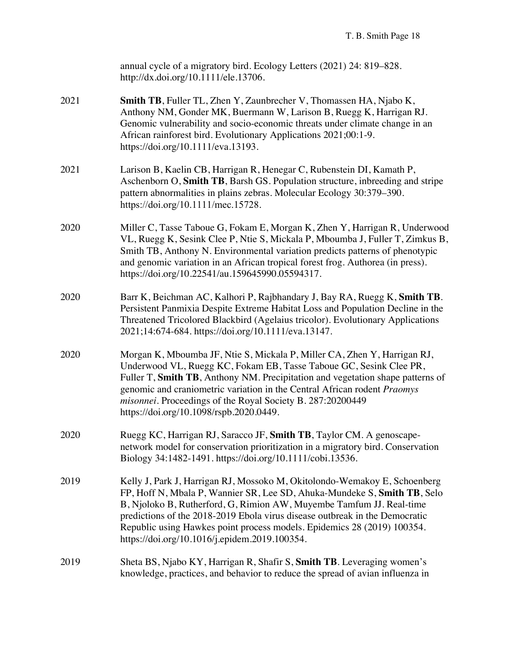|      | annual cycle of a migratory bird. Ecology Letters (2021) 24: 819–828.<br>http://dx.doi.org/10.1111/ele.13706.                                                                                                                                                                                                                                                                                                                            |
|------|------------------------------------------------------------------------------------------------------------------------------------------------------------------------------------------------------------------------------------------------------------------------------------------------------------------------------------------------------------------------------------------------------------------------------------------|
| 2021 | <b>Smith TB</b> , Fuller TL, Zhen Y, Zaunbrecher V, Thomassen HA, Njabo K,<br>Anthony NM, Gonder MK, Buermann W, Larison B, Ruegg K, Harrigan RJ.<br>Genomic vulnerability and socio-economic threats under climate change in an<br>African rainforest bird. Evolutionary Applications 2021;00:1-9.<br>https://doi.org/10.1111/eva.13193.                                                                                                |
| 2021 | Larison B, Kaelin CB, Harrigan R, Henegar C, Rubenstein DI, Kamath P,<br>Aschenborn O, Smith TB, Barsh GS. Population structure, inbreeding and stripe<br>pattern abnormalities in plains zebras. Molecular Ecology 30:379–390.<br>https://doi.org/10.1111/mec.15728.                                                                                                                                                                    |
| 2020 | Miller C, Tasse Taboue G, Fokam E, Morgan K, Zhen Y, Harrigan R, Underwood<br>VL, Ruegg K, Sesink Clee P, Ntie S, Mickala P, Mboumba J, Fuller T, Zimkus B,<br>Smith TB, Anthony N. Environmental variation predicts patterns of phenotypic<br>and genomic variation in an African tropical forest frog. Authorea (in press).<br>https://doi.org/10.22541/au.159645990.05594317.                                                         |
| 2020 | Barr K, Beichman AC, Kalhori P, Rajbhandary J, Bay RA, Ruegg K, Smith TB.<br>Persistent Panmixia Despite Extreme Habitat Loss and Population Decline in the<br>Threatened Tricolored Blackbird (Agelaius tricolor). Evolutionary Applications<br>2021;14:674-684. https://doi.org/10.1111/eva.13147.                                                                                                                                     |
| 2020 | Morgan K, Mboumba JF, Ntie S, Mickala P, Miller CA, Zhen Y, Harrigan RJ,<br>Underwood VL, Ruegg KC, Fokam EB, Tasse Taboue GC, Sesink Clee PR,<br>Fuller T, Smith TB, Anthony NM. Precipitation and vegetation shape patterns of<br>genomic and craniometric variation in the Central African rodent Praomys<br>misonnei. Proceedings of the Royal Society B. 287:20200449<br>https://doi.org/10.1098/rspb.2020.0449.                    |
| 2020 | Ruegg KC, Harrigan RJ, Saracco JF, Smith TB, Taylor CM. A genoscape-<br>network model for conservation prioritization in a migratory bird. Conservation<br>Biology 34:1482-1491. https://doi.org/10.1111/cobi.13536.                                                                                                                                                                                                                     |
| 2019 | Kelly J, Park J, Harrigan RJ, Mossoko M, Okitolondo-Wemakoy E, Schoenberg<br>FP, Hoff N, Mbala P, Wannier SR, Lee SD, Ahuka-Mundeke S, Smith TB, Selo<br>B, Njoloko B, Rutherford, G, Rimion AW, Muyembe Tamfum JJ. Real-time<br>predictions of the 2018-2019 Ebola virus disease outbreak in the Democratic<br>Republic using Hawkes point process models. Epidemics 28 (2019) 100354.<br>https://doi.org/10.1016/j.epidem.2019.100354. |
| 2019 | Sheta BS, Njabo KY, Harrigan R, Shafir S, Smith TB. Leveraging women's<br>knowledge, practices, and behavior to reduce the spread of avian influenza in                                                                                                                                                                                                                                                                                  |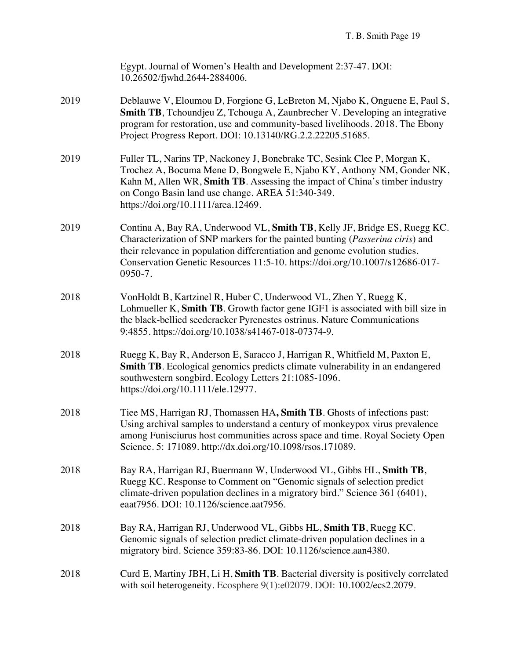|      | Egypt. Journal of Women's Health and Development 2:37-47. DOI:<br>10.26502/fjwhd.2644-2884006.                                                                                                                                                                                                                                      |
|------|-------------------------------------------------------------------------------------------------------------------------------------------------------------------------------------------------------------------------------------------------------------------------------------------------------------------------------------|
| 2019 | Deblauwe V, Eloumou D, Forgione G, LeBreton M, Njabo K, Onguene E, Paul S,<br><b>Smith TB</b> , Tchoundjeu Z, Tchouga A, Zaunbrecher V. Developing an integrative<br>program for restoration, use and community-based livelihoods. 2018. The Ebony<br>Project Progress Report. DOI: 10.13140/RG.2.2.22205.51685.                    |
| 2019 | Fuller TL, Narins TP, Nackoney J, Bonebrake TC, Sesink Clee P, Morgan K,<br>Trochez A, Bocuma Mene D, Bongwele E, Njabo KY, Anthony NM, Gonder NK,<br>Kahn M, Allen WR, Smith TB. Assessing the impact of China's timber industry<br>on Congo Basin land use change. AREA 51:340-349.<br>https://doi.org/10.1111/area.12469.        |
| 2019 | Contina A, Bay RA, Underwood VL, Smith TB, Kelly JF, Bridge ES, Ruegg KC.<br>Characterization of SNP markers for the painted bunting (Passerina ciris) and<br>their relevance in population differentiation and genome evolution studies.<br>Conservation Genetic Resources 11:5-10. https://doi.org/10.1007/s12686-017-<br>0950-7. |
| 2018 | VonHoldt B, Kartzinel R, Huber C, Underwood VL, Zhen Y, Ruegg K,<br>Lohmueller K, Smith TB. Growth factor gene IGF1 is associated with bill size in<br>the black-bellied seedcracker Pyrenestes ostrinus. Nature Communications<br>9:4855. https://doi.org/10.1038/s41467-018-07374-9.                                              |
| 2018 | Ruegg K, Bay R, Anderson E, Saracco J, Harrigan R, Whitfield M, Paxton E,<br><b>Smith TB</b> . Ecological genomics predicts climate vulnerability in an endangered<br>southwestern songbird. Ecology Letters 21:1085-1096.<br>https://doi.org/10.1111/ele.12977.                                                                    |
| 2018 | Tiee MS, Harrigan RJ, Thomassen HA, Smith TB. Ghosts of infections past:<br>Using archival samples to understand a century of monkeypox virus prevalence<br>among Funisciurus host communities across space and time. Royal Society Open<br>Science. 5: 171089. http://dx.doi.org/10.1098/rsos.171089.                              |
| 2018 | Bay RA, Harrigan RJ, Buermann W, Underwood VL, Gibbs HL, Smith TB,<br>Ruegg KC. Response to Comment on "Genomic signals of selection predict<br>climate-driven population declines in a migratory bird." Science 361 (6401),<br>eaat7956. DOI: 10.1126/science.aat7956.                                                             |
| 2018 | Bay RA, Harrigan RJ, Underwood VL, Gibbs HL, Smith TB, Ruegg KC.<br>Genomic signals of selection predict climate-driven population declines in a<br>migratory bird. Science 359:83-86. DOI: 10.1126/science.aan4380.                                                                                                                |
| 2018 | Curd E, Martiny JBH, Li H, Smith TB. Bacterial diversity is positively correlated<br>with soil heterogeneity. Ecosphere 9(1):e02079. DOI: 10.1002/ecs2.2079.                                                                                                                                                                        |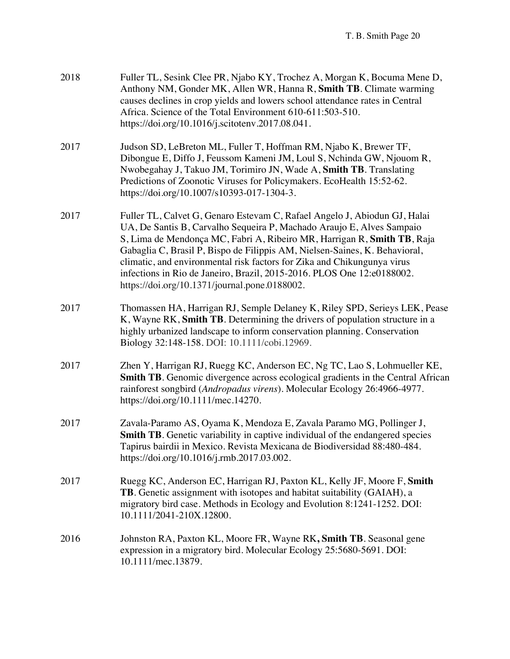| 2018 | Fuller TL, Sesink Clee PR, Njabo KY, Trochez A, Morgan K, Bocuma Mene D,<br>Anthony NM, Gonder MK, Allen WR, Hanna R, Smith TB. Climate warming<br>causes declines in crop yields and lowers school attendance rates in Central<br>Africa. Science of the Total Environment 610-611:503-510.<br>https://doi.org/10.1016/j.scitotenv.2017.08.041.                                                                                                                                                                  |
|------|-------------------------------------------------------------------------------------------------------------------------------------------------------------------------------------------------------------------------------------------------------------------------------------------------------------------------------------------------------------------------------------------------------------------------------------------------------------------------------------------------------------------|
| 2017 | Judson SD, LeBreton ML, Fuller T, Hoffman RM, Njabo K, Brewer TF,<br>Dibongue E, Diffo J, Feussom Kameni JM, Loul S, Nchinda GW, Njouom R,<br>Nwobegahay J, Takuo JM, Torimiro JN, Wade A, Smith TB. Translating<br>Predictions of Zoonotic Viruses for Policymakers. EcoHealth 15:52-62.<br>https://doi.org/10.1007/s10393-017-1304-3.                                                                                                                                                                           |
| 2017 | Fuller TL, Calvet G, Genaro Estevam C, Rafael Angelo J, Abiodun GJ, Halai<br>UA, De Santis B, Carvalho Sequeira P, Machado Araujo E, Alves Sampaio<br>S, Lima de Mendonça MC, Fabri A, Ribeiro MR, Harrigan R, Smith TB, Raja<br>Gabaglia C, Brasil P, Bispo de Filippis AM, Nielsen-Saines, K. Behavioral,<br>climatic, and environmental risk factors for Zika and Chikungunya virus<br>infections in Rio de Janeiro, Brazil, 2015-2016. PLOS One 12:e0188002.<br>https://doi.org/10.1371/journal.pone.0188002. |
| 2017 | Thomassen HA, Harrigan RJ, Semple Delaney K, Riley SPD, Serieys LEK, Pease<br>K, Wayne RK, Smith TB. Determining the drivers of population structure in a<br>highly urbanized landscape to inform conservation planning. Conservation<br>Biology 32:148-158. DOI: 10.1111/cobi.12969.                                                                                                                                                                                                                             |
| 2017 | Zhen Y, Harrigan RJ, Ruegg KC, Anderson EC, Ng TC, Lao S, Lohmueller KE,<br><b>Smith TB</b> . Genomic divergence across ecological gradients in the Central African<br>rainforest songbird (Andropadus virens). Molecular Ecology 26:4966-4977.<br>https://doi.org/10.1111/mec.14270.                                                                                                                                                                                                                             |
| 2017 | Zavala-Paramo AS, Oyama K, Mendoza E, Zavala Paramo MG, Pollinger J,<br>Smith TB. Genetic variability in captive individual of the endangered species<br>Tapirus bairdii in Mexico. Revista Mexicana de Biodiversidad 88:480-484.<br>https://doi.org/10.1016/j.rmb.2017.03.002.                                                                                                                                                                                                                                   |
| 2017 | Ruegg KC, Anderson EC, Harrigan RJ, Paxton KL, Kelly JF, Moore F, Smith<br><b>TB</b> . Genetic assignment with isotopes and habitat suitability (GAIAH), a<br>migratory bird case. Methods in Ecology and Evolution 8:1241-1252. DOI:<br>10.1111/2041-210X.12800.                                                                                                                                                                                                                                                 |
| 2016 | Johnston RA, Paxton KL, Moore FR, Wayne RK, Smith TB. Seasonal gene<br>expression in a migratory bird. Molecular Ecology 25:5680-5691. DOI:<br>10.1111/mec.13879.                                                                                                                                                                                                                                                                                                                                                 |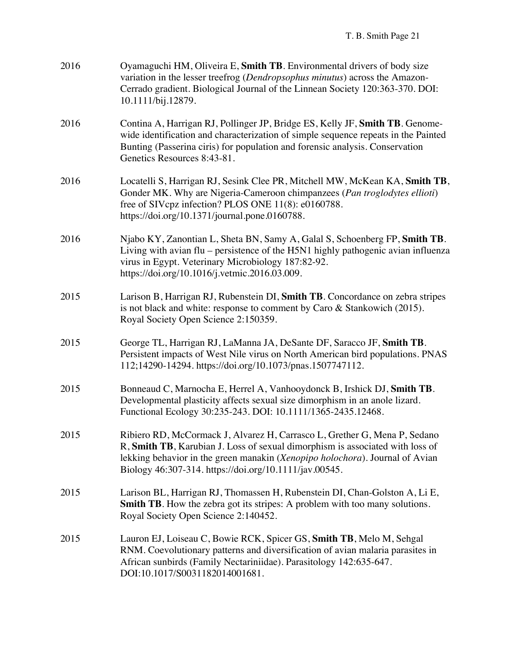| 2016 | Oyamaguchi HM, Oliveira E, Smith TB. Environmental drivers of body size<br>variation in the lesser treefrog (Dendropsophus minutus) across the Amazon-<br>Cerrado gradient. Biological Journal of the Linnean Society 120:363-370. DOI:<br>10.1111/bij.12879.                                        |
|------|------------------------------------------------------------------------------------------------------------------------------------------------------------------------------------------------------------------------------------------------------------------------------------------------------|
| 2016 | Contina A, Harrigan RJ, Pollinger JP, Bridge ES, Kelly JF, Smith TB. Genome-<br>wide identification and characterization of simple sequence repeats in the Painted<br>Bunting (Passerina ciris) for population and forensic analysis. Conservation<br>Genetics Resources 8:43-81.                    |
| 2016 | Locatelli S, Harrigan RJ, Sesink Clee PR, Mitchell MW, McKean KA, Smith TB,<br>Gonder MK. Why are Nigeria-Cameroon chimpanzees (Pan troglodytes ellioti)<br>free of SIVcpz infection? PLOS ONE 11(8): e0160788.<br>https://doi.org/10.1371/journal.pone.0160788.                                     |
| 2016 | Njabo KY, Zanontian L, Sheta BN, Samy A, Galal S, Schoenberg FP, Smith TB.<br>Living with avian flu - persistence of the H5N1 highly pathogenic avian influenza<br>virus in Egypt. Veterinary Microbiology 187:82-92.<br>https://doi.org/10.1016/j.vetmic.2016.03.009.                               |
| 2015 | Larison B, Harrigan RJ, Rubenstein DI, Smith TB. Concordance on zebra stripes<br>is not black and white: response to comment by Caro & Stankowich (2015).<br>Royal Society Open Science 2:150359.                                                                                                    |
| 2015 | George TL, Harrigan RJ, LaManna JA, DeSante DF, Saracco JF, Smith TB.<br>Persistent impacts of West Nile virus on North American bird populations. PNAS<br>112;14290-14294. https://doi.org/10.1073/pnas.1507747112.                                                                                 |
| 2015 | Bonneaud C, Marnocha E, Herrel A, Vanhooydonck B, Irshick DJ, Smith TB.<br>Developmental plasticity affects sexual size dimorphism in an anole lizard.<br>Functional Ecology 30:235-243. DOI: 10.1111/1365-2435.12468.                                                                               |
| 2015 | Ribiero RD, McCormack J, Alvarez H, Carrasco L, Grether G, Mena P, Sedano<br>R, Smith TB, Karubian J. Loss of sexual dimorphism is associated with loss of<br>lekking behavior in the green manakin (Xenopipo holochora). Journal of Avian<br>Biology 46:307-314. https://doi.org/10.1111/jav.00545. |
| 2015 | Larison BL, Harrigan RJ, Thomassen H, Rubenstein DI, Chan-Golston A, Li E,<br>Smith TB. How the zebra got its stripes: A problem with too many solutions.<br>Royal Society Open Science 2:140452.                                                                                                    |
| 2015 | Lauron EJ, Loiseau C, Bowie RCK, Spicer GS, Smith TB, Melo M, Sehgal<br>RNM. Coevolutionary patterns and diversification of avian malaria parasites in<br>African sunbirds (Family Nectariniidae). Parasitology 142:635-647.<br>DOI:10.1017/S0031182014001681.                                       |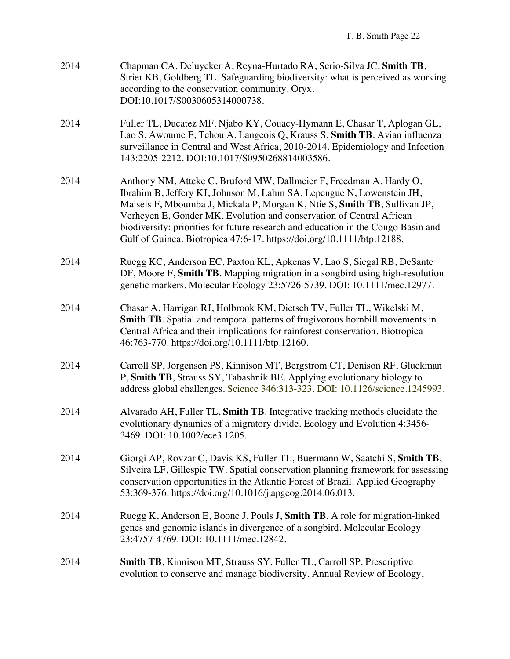| 2014 | Chapman CA, Deluycker A, Reyna-Hurtado RA, Serio-Silva JC, Smith TB,<br>Strier KB, Goldberg TL. Safeguarding biodiversity: what is perceived as working<br>according to the conservation community. Oryx.<br>DOI:10.1017/S0030605314000738.                                                                                                                                                                                                                      |
|------|------------------------------------------------------------------------------------------------------------------------------------------------------------------------------------------------------------------------------------------------------------------------------------------------------------------------------------------------------------------------------------------------------------------------------------------------------------------|
| 2014 | Fuller TL, Ducatez MF, Njabo KY, Couacy-Hymann E, Chasar T, Aplogan GL,<br>Lao S, Awoume F, Tehou A, Langeois Q, Krauss S, Smith TB. Avian influenza<br>surveillance in Central and West Africa, 2010-2014. Epidemiology and Infection<br>143:2205-2212. DOI:10.1017/S0950268814003586.                                                                                                                                                                          |
| 2014 | Anthony NM, Atteke C, Bruford MW, Dallmeier F, Freedman A, Hardy O,<br>Ibrahim B, Jeffery KJ, Johnson M, Lahm SA, Lepengue N, Lowenstein JH,<br>Maisels F, Mboumba J, Mickala P, Morgan K, Ntie S, Smith TB, Sullivan JP,<br>Verheyen E, Gonder MK. Evolution and conservation of Central African<br>biodiversity: priorities for future research and education in the Congo Basin and<br>Gulf of Guinea. Biotropica 47:6-17. https://doi.org/10.1111/btp.12188. |
| 2014 | Ruegg KC, Anderson EC, Paxton KL, Apkenas V, Lao S, Siegal RB, DeSante<br>DF, Moore F, Smith TB. Mapping migration in a songbird using high-resolution<br>genetic markers. Molecular Ecology 23:5726-5739. DOI: 10.1111/mec.12977.                                                                                                                                                                                                                               |
| 2014 | Chasar A, Harrigan RJ, Holbrook KM, Dietsch TV, Fuller TL, Wikelski M,<br>Smith TB. Spatial and temporal patterns of frugivorous hornbill movements in<br>Central Africa and their implications for rainforest conservation. Biotropica<br>46:763-770. https://doi.org/10.1111/btp.12160.                                                                                                                                                                        |
| 2014 | Carroll SP, Jorgensen PS, Kinnison MT, Bergstrom CT, Denison RF, Gluckman<br>P, Smith TB, Strauss SY, Tabashnik BE. Applying evolutionary biology to<br>address global challenges. Science 346:313-323. DOI: 10.1126/science.1245993.                                                                                                                                                                                                                            |
| 2014 | Alvarado AH, Fuller TL, Smith TB. Integrative tracking methods elucidate the<br>evolutionary dynamics of a migratory divide. Ecology and Evolution 4:3456-<br>3469. DOI: 10.1002/ece3.1205.                                                                                                                                                                                                                                                                      |
| 2014 | Giorgi AP, Rovzar C, Davis KS, Fuller TL, Buermann W, Saatchi S, Smith TB,<br>Silveira LF, Gillespie TW. Spatial conservation planning framework for assessing<br>conservation opportunities in the Atlantic Forest of Brazil. Applied Geography<br>53:369-376. https://doi.org/10.1016/j.apgeog.2014.06.013.                                                                                                                                                    |
| 2014 | Ruegg K, Anderson E, Boone J, Pouls J, Smith TB. A role for migration-linked<br>genes and genomic islands in divergence of a songbird. Molecular Ecology<br>23:4757-4769. DOI: 10.1111/mec.12842.                                                                                                                                                                                                                                                                |
| 2014 | <b>Smith TB, Kinnison MT, Strauss SY, Fuller TL, Carroll SP. Prescriptive</b><br>evolution to conserve and manage biodiversity. Annual Review of Ecology,                                                                                                                                                                                                                                                                                                        |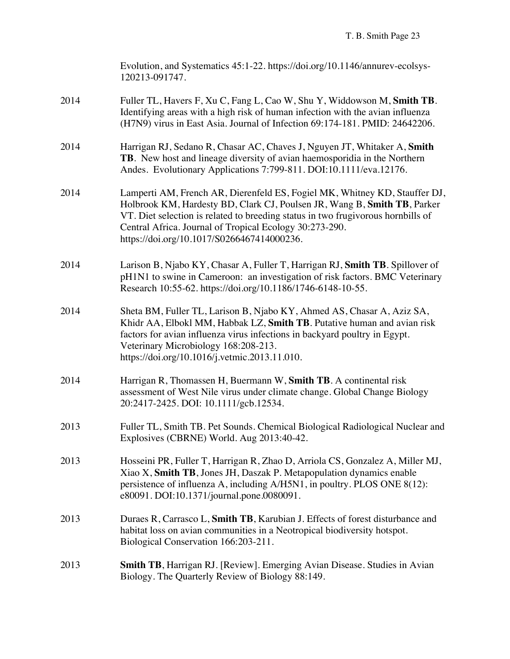|      | Evolution, and Systematics 45:1-22. https://doi.org/10.1146/annurev-ecolsys-<br>120213-091747.                                                                                                                                                                                                                                                      |
|------|-----------------------------------------------------------------------------------------------------------------------------------------------------------------------------------------------------------------------------------------------------------------------------------------------------------------------------------------------------|
| 2014 | Fuller TL, Havers F, Xu C, Fang L, Cao W, Shu Y, Widdowson M, Smith TB.<br>Identifying areas with a high risk of human infection with the avian influenza<br>(H7N9) virus in East Asia. Journal of Infection 69:174-181. PMID: 24642206.                                                                                                            |
| 2014 | Harrigan RJ, Sedano R, Chasar AC, Chaves J, Nguyen JT, Whitaker A, Smith<br>TB. New host and lineage diversity of avian haemosporidia in the Northern<br>Andes. Evolutionary Applications 7:799-811. DOI:10.1111/eva.12176.                                                                                                                         |
| 2014 | Lamperti AM, French AR, Dierenfeld ES, Fogiel MK, Whitney KD, Stauffer DJ,<br>Holbrook KM, Hardesty BD, Clark CJ, Poulsen JR, Wang B, Smith TB, Parker<br>VT. Diet selection is related to breeding status in two frugivorous hornbills of<br>Central Africa. Journal of Tropical Ecology 30:273-290.<br>https://doi.org/10.1017/S0266467414000236. |
| 2014 | Larison B, Njabo KY, Chasar A, Fuller T, Harrigan RJ, Smith TB. Spillover of<br>pH1N1 to swine in Cameroon: an investigation of risk factors. BMC Veterinary<br>Research 10:55-62. https://doi.org/10.1186/1746-6148-10-55.                                                                                                                         |
| 2014 | Sheta BM, Fuller TL, Larison B, Njabo KY, Ahmed AS, Chasar A, Aziz SA,<br>Khidr AA, Elbokl MM, Habbak LZ, Smith TB. Putative human and avian risk<br>factors for avian influenza virus infections in backyard poultry in Egypt.<br>Veterinary Microbiology 168:208-213.<br>https://doi.org/10.1016/j.vetmic.2013.11.010.                            |
| 2014 | Harrigan R, Thomassen H, Buermann W, Smith TB. A continental risk<br>assessment of West Nile virus under climate change. Global Change Biology<br>20:2417-2425. DOI: 10.1111/gcb.12534.                                                                                                                                                             |
| 2013 | Fuller TL, Smith TB. Pet Sounds. Chemical Biological Radiological Nuclear and<br>Explosives (CBRNE) World. Aug 2013:40-42.                                                                                                                                                                                                                          |
| 2013 | Hosseini PR, Fuller T, Harrigan R, Zhao D, Arriola CS, Gonzalez A, Miller MJ,<br>Xiao X, Smith TB, Jones JH, Daszak P. Metapopulation dynamics enable<br>persistence of influenza A, including A/H5N1, in poultry. PLOS ONE 8(12):<br>e80091. DOI:10.1371/journal.pone.0080091.                                                                     |
| 2013 | Duraes R, Carrasco L, Smith TB, Karubian J. Effects of forest disturbance and<br>habitat loss on avian communities in a Neotropical biodiversity hotspot.<br>Biological Conservation 166:203-211.                                                                                                                                                   |
| 2013 | <b>Smith TB</b> , Harrigan RJ. [Review]. Emerging Avian Disease. Studies in Avian<br>Biology. The Quarterly Review of Biology 88:149.                                                                                                                                                                                                               |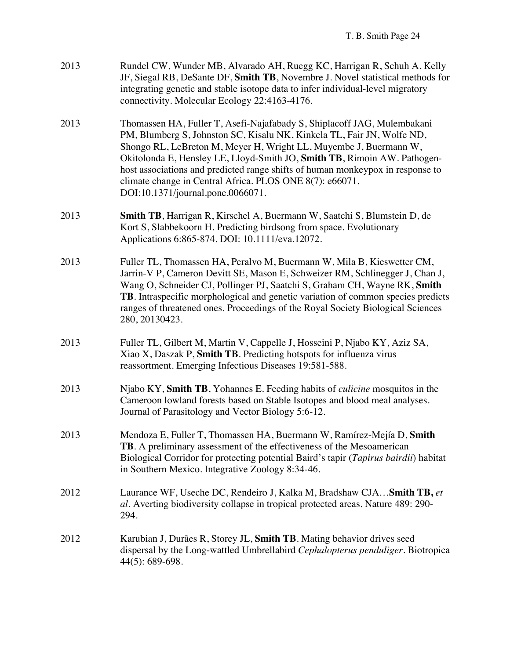| 2013 | Rundel CW, Wunder MB, Alvarado AH, Ruegg KC, Harrigan R, Schuh A, Kelly         |
|------|---------------------------------------------------------------------------------|
|      | JF, Siegal RB, DeSante DF, Smith TB, Novembre J. Novel statistical methods for  |
|      | integrating genetic and stable isotope data to infer individual-level migratory |
|      | connectivity. Molecular Ecology 22:4163-4176.                                   |

- 2013 Thomassen HA, Fuller T, Asefi-Najafabady S, Shiplacoff JAG, Mulembakani PM, Blumberg S, Johnston SC, Kisalu NK, Kinkela TL, Fair JN, Wolfe ND, Shongo RL, LeBreton M, Meyer H, Wright LL, Muyembe J, Buermann W, Okitolonda E, Hensley LE, Lloyd-Smith JO, **Smith TB**, Rimoin AW. Pathogenhost associations and predicted range shifts of human monkeypox in response to climate change in Central Africa. PLOS ONE 8(7): e66071. DOI:10.1371/journal.pone.0066071.
- 2013 **Smith TB**, Harrigan R, Kirschel A, Buermann W, Saatchi S, Blumstein D, de Kort S, Slabbekoorn H. Predicting birdsong from space. Evolutionary Applications 6:865-874. DOI: 10.1111/eva.12072.
- 2013 Fuller TL, Thomassen HA, Peralvo M, Buermann W, Mila B, Kieswetter CM, Jarrin-V P, Cameron Devitt SE, Mason E, Schweizer RM, Schlinegger J, Chan J, Wang O, Schneider CJ, Pollinger PJ, Saatchi S, Graham CH, Wayne RK, **Smith TB**. Intraspecific morphological and genetic variation of common species predicts ranges of threatened ones. Proceedings of the Royal Society Biological Sciences 280, 20130423.
- 2013 Fuller TL, Gilbert M, Martin V, Cappelle J, Hosseini P, Njabo KY, Aziz SA, Xiao X, Daszak P, **Smith TB**. Predicting hotspots for influenza virus reassortment. Emerging Infectious Diseases 19:581-588.
- 2013 Njabo KY, **Smith TB**, Yohannes E. Feeding habits of *culicine* mosquitos in the Cameroon lowland forests based on Stable Isotopes and blood meal analyses. Journal of Parasitology and Vector Biology 5:6-12.
- 2013 Mendoza E, Fuller T, Thomassen HA, Buermann W, Ramírez-Mejía D, **Smith TB**. A preliminary assessment of the effectiveness of the Mesoamerican Biological Corridor for protecting potential Baird's tapir (*Tapirus bairdii*) habitat in Southern Mexico. Integrative Zoology 8:34-46.
- 2012 Laurance WF, Useche DC, Rendeiro J, Kalka M, Bradshaw CJA…**Smith TB,** *et al.* Averting biodiversity collapse in tropical protected areas. Nature 489: 290- 294.
- 2012 Karubian J, Durães R, Storey JL, **Smith TB**. Mating behavior drives seed dispersal by the Long-wattled Umbrellabird *Cephalopterus penduliger*. Biotropica 44(5): 689-698.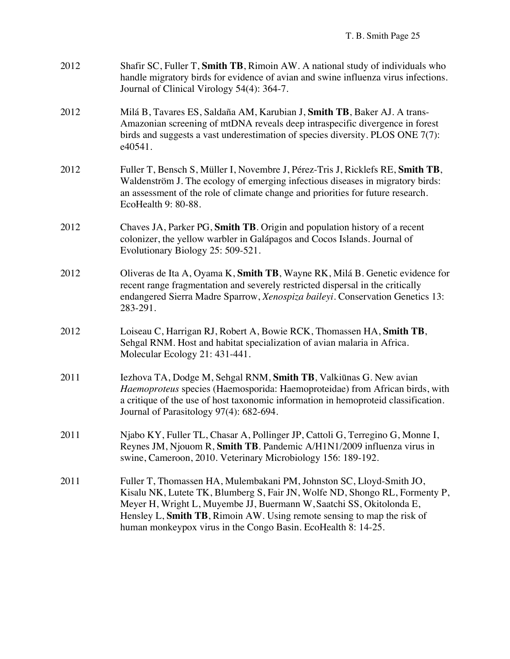| 2012 | Shafir SC, Fuller T, Smith TB, Rimoin AW. A national study of individuals who<br>handle migratory birds for evidence of avian and swine influenza virus infections.<br>Journal of Clinical Virology 54(4): 364-7.                                                                                                                                                       |
|------|-------------------------------------------------------------------------------------------------------------------------------------------------------------------------------------------------------------------------------------------------------------------------------------------------------------------------------------------------------------------------|
| 2012 | Milá B, Tavares ES, Saldaña AM, Karubian J, Smith TB, Baker AJ. A trans-<br>Amazonian screening of mtDNA reveals deep intraspecific divergence in forest<br>birds and suggests a vast underestimation of species diversity. PLOS ONE $7(7)$ :<br>e40541.                                                                                                                |
| 2012 | Fuller T, Bensch S, Müller I, Novembre J, Pérez-Tris J, Ricklefs RE, Smith TB,<br>Waldenström J. The ecology of emerging infectious diseases in migratory birds:<br>an assessment of the role of climate change and priorities for future research.<br>EcoHealth 9: 80-88.                                                                                              |
| 2012 | Chaves JA, Parker PG, Smith TB. Origin and population history of a recent<br>colonizer, the yellow warbler in Galápagos and Cocos Islands. Journal of<br>Evolutionary Biology 25: 509-521.                                                                                                                                                                              |
| 2012 | Oliveras de Ita A, Oyama K, Smith TB, Wayne RK, Milá B. Genetic evidence for<br>recent range fragmentation and severely restricted dispersal in the critically<br>endangered Sierra Madre Sparrow, Xenospiza baileyi. Conservation Genetics 13:<br>283-291.                                                                                                             |
| 2012 | Loiseau C, Harrigan RJ, Robert A, Bowie RCK, Thomassen HA, Smith TB,<br>Sehgal RNM. Host and habitat specialization of avian malaria in Africa.<br>Molecular Ecology 21: 431-441.                                                                                                                                                                                       |
| 2011 | Iezhova TA, Dodge M, Sehgal RNM, Smith TB, Valkiūnas G. New avian<br>Haemoproteus species (Haemosporida: Haemoproteidae) from African birds, with<br>a critique of the use of host taxonomic information in hemoproteid classification.<br>Journal of Parasitology 97(4): 682-694.                                                                                      |
| 2011 | Njabo KY, Fuller TL, Chasar A, Pollinger JP, Cattoli G, Terregino G, Monne I,<br>Reynes JM, Njouom R, Smith TB. Pandemic A/H1N1/2009 influenza virus in<br>swine, Cameroon, 2010. Veterinary Microbiology 156: 189-192.                                                                                                                                                 |
| 2011 | Fuller T, Thomassen HA, Mulembakani PM, Johnston SC, Lloyd-Smith JO,<br>Kisalu NK, Lutete TK, Blumberg S, Fair JN, Wolfe ND, Shongo RL, Formenty P,<br>Meyer H, Wright L, Muyembe JJ, Buermann W, Saatchi SS, Okitolonda E,<br>Hensley L, Smith TB, Rimoin AW. Using remote sensing to map the risk of<br>human monkeypox virus in the Congo Basin. EcoHealth 8: 14-25. |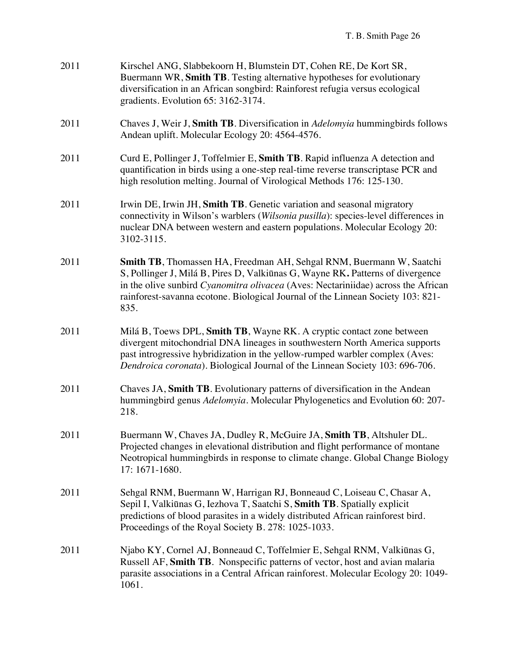| 2011 | Kirschel ANG, Slabbekoorn H, Blumstein DT, Cohen RE, De Kort SR,<br>Buermann WR, Smith TB. Testing alternative hypotheses for evolutionary<br>diversification in an African songbird: Rainforest refugia versus ecological<br>gradients. Evolution 65: 3162-3174.                                                                      |
|------|----------------------------------------------------------------------------------------------------------------------------------------------------------------------------------------------------------------------------------------------------------------------------------------------------------------------------------------|
| 2011 | Chaves J, Weir J, Smith TB. Diversification in <i>Adelomyia</i> hummingbirds follows<br>Andean uplift. Molecular Ecology 20: 4564-4576.                                                                                                                                                                                                |
| 2011 | Curd E, Pollinger J, Toffelmier E, Smith TB. Rapid influenza A detection and<br>quantification in birds using a one-step real-time reverse transcriptase PCR and<br>high resolution melting. Journal of Virological Methods 176: 125-130.                                                                                              |
| 2011 | Irwin DE, Irwin JH, Smith TB. Genetic variation and seasonal migratory<br>connectivity in Wilson's warblers (Wilsonia pusilla): species-level differences in<br>nuclear DNA between western and eastern populations. Molecular Ecology 20:<br>3102-3115.                                                                               |
| 2011 | Smith TB, Thomassen HA, Freedman AH, Sehgal RNM, Buermann W, Saatchi<br>S, Pollinger J, Milá B, Pires D, Valkiūnas G, Wayne RK. Patterns of divergence<br>in the olive sunbird Cyanomitra olivacea (Aves: Nectariniidae) across the African<br>rainforest-savanna ecotone. Biological Journal of the Linnean Society 103: 821-<br>835. |
| 2011 | Milá B, Toews DPL, Smith TB, Wayne RK. A cryptic contact zone between<br>divergent mitochondrial DNA lineages in southwestern North America supports<br>past introgressive hybridization in the yellow-rumped warbler complex (Aves:<br>Dendroica coronata). Biological Journal of the Linnean Society 103: 696-706.                   |
| 2011 | Chaves JA, Smith TB. Evolutionary patterns of diversification in the Andean<br>hummingbird genus Adelomyia. Molecular Phylogenetics and Evolution 60: 207-<br>218.                                                                                                                                                                     |
| 2011 | Buermann W, Chaves JA, Dudley R, McGuire JA, Smith TB, Altshuler DL.<br>Projected changes in elevational distribution and flight performance of montane<br>Neotropical hummingbirds in response to climate change. Global Change Biology<br>17: 1671-1680.                                                                             |
| 2011 | Sehgal RNM, Buermann W, Harrigan RJ, Bonneaud C, Loiseau C, Chasar A,<br>Sepil I, Valkiūnas G, Iezhova T, Saatchi S, Smith TB. Spatially explicit<br>predictions of blood parasites in a widely distributed African rainforest bird.<br>Proceedings of the Royal Society B. 278: 1025-1033.                                            |
| 2011 | Njabo KY, Cornel AJ, Bonneaud C, Toffelmier E, Sehgal RNM, Valkiūnas G,<br>Russell AF, Smith TB. Nonspecific patterns of vector, host and avian malaria<br>parasite associations in a Central African rainforest. Molecular Ecology 20: 1049-<br>1061.                                                                                 |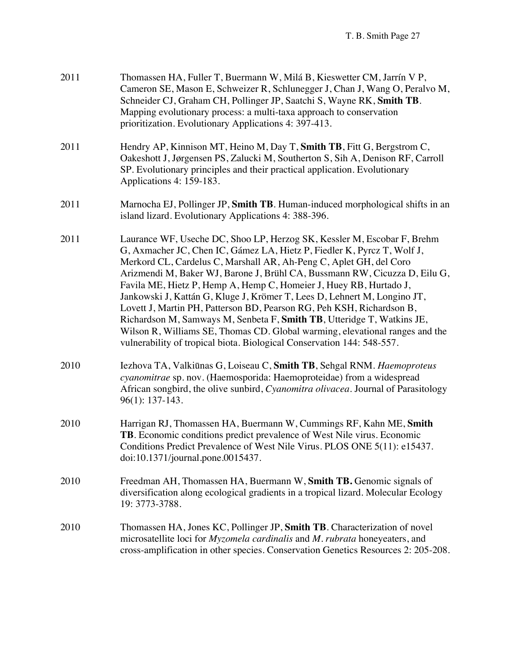| 2011 | Thomassen HA, Fuller T, Buermann W, Milá B, Kieswetter CM, Jarrín V P,<br>Cameron SE, Mason E, Schweizer R, Schlunegger J, Chan J, Wang O, Peralvo M,<br>Schneider CJ, Graham CH, Pollinger JP, Saatchi S, Wayne RK, Smith TB.<br>Mapping evolutionary process: a multi-taxa approach to conservation<br>prioritization. Evolutionary Applications 4: 397-413.                                                                                                                                                                                                                                                                                                                                                                                                        |
|------|-----------------------------------------------------------------------------------------------------------------------------------------------------------------------------------------------------------------------------------------------------------------------------------------------------------------------------------------------------------------------------------------------------------------------------------------------------------------------------------------------------------------------------------------------------------------------------------------------------------------------------------------------------------------------------------------------------------------------------------------------------------------------|
| 2011 | Hendry AP, Kinnison MT, Heino M, Day T, Smith TB, Fitt G, Bergstrom C,<br>Oakeshott J, Jørgensen PS, Zalucki M, Southerton S, Sih A, Denison RF, Carroll<br>SP. Evolutionary principles and their practical application. Evolutionary<br>Applications 4: 159-183.                                                                                                                                                                                                                                                                                                                                                                                                                                                                                                     |
| 2011 | Marnocha EJ, Pollinger JP, Smith TB. Human-induced morphological shifts in an<br>island lizard. Evolutionary Applications 4: 388-396.                                                                                                                                                                                                                                                                                                                                                                                                                                                                                                                                                                                                                                 |
| 2011 | Laurance WF, Useche DC, Shoo LP, Herzog SK, Kessler M, Escobar F, Brehm<br>G, Axmacher JC, Chen IC, Gámez LA, Hietz P, Fiedler K, Pyrcz T, Wolf J,<br>Merkord CL, Cardelus C, Marshall AR, Ah-Peng C, Aplet GH, del Coro<br>Arizmendi M, Baker WJ, Barone J, Brühl CA, Bussmann RW, Cicuzza D, Eilu G,<br>Favila ME, Hietz P, Hemp A, Hemp C, Homeier J, Huey RB, Hurtado J,<br>Jankowski J, Kattán G, Kluge J, Krömer T, Lees D, Lehnert M, Longino JT,<br>Lovett J, Martin PH, Patterson BD, Pearson RG, Peh KSH, Richardson B,<br>Richardson M, Samways M, Senbeta F, Smith TB, Utteridge T, Watkins JE,<br>Wilson R, Williams SE, Thomas CD. Global warming, elevational ranges and the<br>vulnerability of tropical biota. Biological Conservation 144: 548-557. |
| 2010 | Iezhova TA, Valkiūnas G, Loiseau C, Smith TB, Sehgal RNM. Haemoproteus<br>cyanomitrae sp. nov. (Haemosporida: Haemoproteidae) from a widespread<br>African songbird, the olive sunbird, Cyanomitra olivacea. Journal of Parasitology<br>$96(1): 137-143.$                                                                                                                                                                                                                                                                                                                                                                                                                                                                                                             |
| 2010 | Harrigan RJ, Thomassen HA, Buermann W, Cummings RF, Kahn ME, Smith<br><b>TB</b> . Economic conditions predict prevalence of West Nile virus. Economic<br>Conditions Predict Prevalence of West Nile Virus. PLOS ONE 5(11): e15437.<br>doi:10.1371/journal.pone.0015437.                                                                                                                                                                                                                                                                                                                                                                                                                                                                                               |
| 2010 | Freedman AH, Thomassen HA, Buermann W, Smith TB. Genomic signals of<br>diversification along ecological gradients in a tropical lizard. Molecular Ecology<br>19: 3773-3788.                                                                                                                                                                                                                                                                                                                                                                                                                                                                                                                                                                                           |
| 2010 | Thomassen HA, Jones KC, Pollinger JP, Smith TB. Characterization of novel<br>microsatellite loci for <i>Myzomela cardinalis</i> and <i>M. rubrata</i> honeyeaters, and<br>cross-amplification in other species. Conservation Genetics Resources 2: 205-208.                                                                                                                                                                                                                                                                                                                                                                                                                                                                                                           |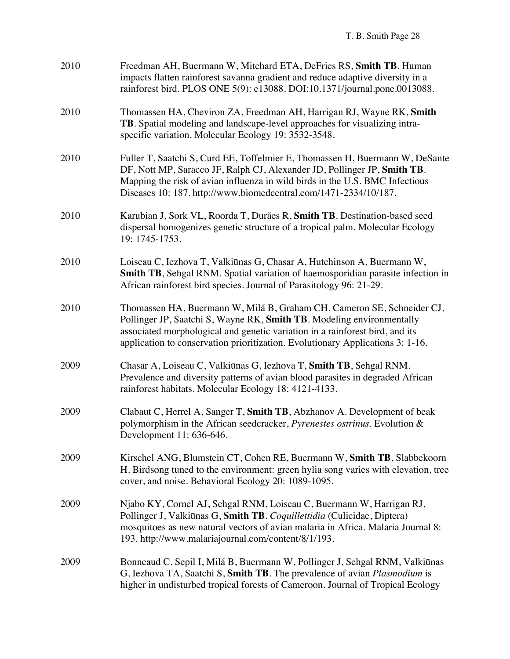| 2010 | Freedman AH, Buermann W, Mitchard ETA, DeFries RS, Smith TB. Human<br>impacts flatten rainforest savanna gradient and reduce adaptive diversity in a<br>rainforest bird. PLOS ONE 5(9): e13088. DOI:10.1371/journal.pone.0013088.                                                                                 |
|------|-------------------------------------------------------------------------------------------------------------------------------------------------------------------------------------------------------------------------------------------------------------------------------------------------------------------|
| 2010 | Thomassen HA, Cheviron ZA, Freedman AH, Harrigan RJ, Wayne RK, Smith<br>TB. Spatial modeling and landscape-level approaches for visualizing intra-<br>specific variation. Molecular Ecology 19: 3532-3548.                                                                                                        |
| 2010 | Fuller T, Saatchi S, Curd EE, Toffelmier E, Thomassen H, Buermann W, DeSante<br>DF, Nott MP, Saracco JF, Ralph CJ, Alexander JD, Pollinger JP, Smith TB.<br>Mapping the risk of avian influenza in wild birds in the U.S. BMC Infectious<br>Diseases 10: 187. http://www.biomedcentral.com/1471-2334/10/187.      |
| 2010 | Karubian J, Sork VL, Roorda T, Durães R, Smith TB. Destination-based seed<br>dispersal homogenizes genetic structure of a tropical palm. Molecular Ecology<br>19: 1745-1753.                                                                                                                                      |
| 2010 | Loiseau C, Iezhova T, Valkiūnas G, Chasar A, Hutchinson A, Buermann W,<br>Smith TB, Sehgal RNM. Spatial variation of haemosporidian parasite infection in<br>African rainforest bird species. Journal of Parasitology 96: 21-29.                                                                                  |
| 2010 | Thomassen HA, Buermann W, Milá B, Graham CH, Cameron SE, Schneider CJ,<br>Pollinger JP, Saatchi S, Wayne RK, Smith TB. Modeling environmentally<br>associated morphological and genetic variation in a rainforest bird, and its<br>application to conservation prioritization. Evolutionary Applications 3: 1-16. |
| 2009 | Chasar A, Loiseau C, Valkiūnas G, Iezhova T, Smith TB, Sehgal RNM.<br>Prevalence and diversity patterns of avian blood parasites in degraded African<br>rainforest habitats. Molecular Ecology 18: 4121-4133.                                                                                                     |
| 2009 | Clabaut C, Herrel A, Sanger T, Smith TB, Abzhanov A. Development of beak<br>polymorphism in the African seedcracker, <i>Pyrenestes ostrinus</i> . Evolution &<br>Development 11: 636-646.                                                                                                                         |
| 2009 | Kirschel ANG, Blumstein CT, Cohen RE, Buermann W, Smith TB, Slabbekoorn<br>H. Birdsong tuned to the environment: green hylia song varies with elevation, tree<br>cover, and noise. Behavioral Ecology 20: 1089-1095.                                                                                              |
| 2009 | Njabo KY, Cornel AJ, Sehgal RNM, Loiseau C, Buermann W, Harrigan RJ,<br>Pollinger J, Valkiūnas G, Smith TB. Coquillettidia (Culicidae, Diptera)<br>mosquitoes as new natural vectors of avian malaria in Africa. Malaria Journal 8:<br>193. http://www.malariajournal.com/content/8/1/193.                        |
| 2009 | Bonneaud C, Sepil I, Milá B, Buermann W, Pollinger J, Sehgal RNM, Valkiūnas<br>G, Iezhova TA, Saatchi S, Smith TB. The prevalence of avian <i>Plasmodium</i> is<br>higher in undisturbed tropical forests of Cameroon. Journal of Tropical Ecology                                                                |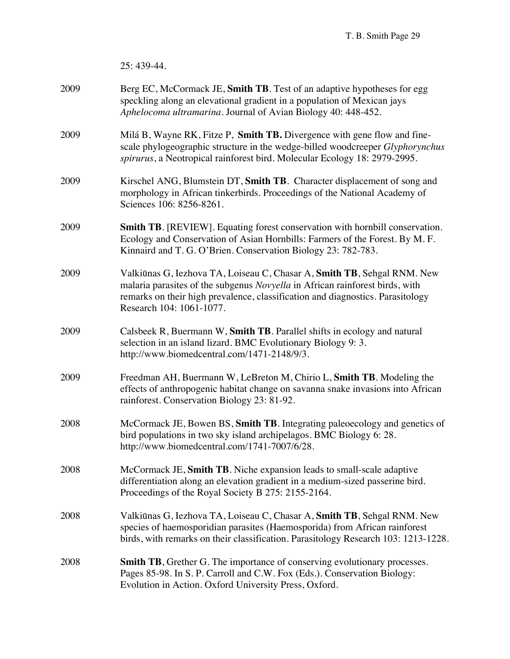|      | 25: 439-44.                                                                                                                                                                                                                                                           |
|------|-----------------------------------------------------------------------------------------------------------------------------------------------------------------------------------------------------------------------------------------------------------------------|
| 2009 | Berg EC, McCormack JE, Smith TB. Test of an adaptive hypotheses for egg<br>speckling along an elevational gradient in a population of Mexican jays<br>Aphelocoma ultramarina. Journal of Avian Biology 40: 448-452.                                                   |
| 2009 | Milá B, Wayne RK, Fitze P, Smith TB. Divergence with gene flow and fine-<br>scale phylogeographic structure in the wedge-billed woodcreeper Glyphorynchus<br>spirurus, a Neotropical rainforest bird. Molecular Ecology 18: 2979-2995.                                |
| 2009 | Kirschel ANG, Blumstein DT, Smith TB. Character displacement of song and<br>morphology in African tinkerbirds. Proceedings of the National Academy of<br>Sciences 106: 8256-8261.                                                                                     |
| 2009 | <b>Smith TB.</b> [REVIEW]. Equating forest conservation with hornbill conservation.<br>Ecology and Conservation of Asian Hornbills: Farmers of the Forest. By M. F.<br>Kinnaird and T. G. O'Brien. Conservation Biology 23: 782-783.                                  |
| 2009 | Valkiūnas G, Iezhova TA, Loiseau C, Chasar A, Smith TB, Sehgal RNM. New<br>malaria parasites of the subgenus Novyella in African rainforest birds, with<br>remarks on their high prevalence, classification and diagnostics. Parasitology<br>Research 104: 1061-1077. |
| 2009 | Calsbeek R, Buermann W, Smith TB. Parallel shifts in ecology and natural<br>selection in an island lizard. BMC Evolutionary Biology 9: 3.<br>http://www.biomedcentral.com/1471-2148/9/3.                                                                              |
| 2009 | Freedman AH, Buermann W, LeBreton M, Chirio L, Smith TB. Modeling the<br>effects of anthropogenic habitat change on savanna snake invasions into African<br>rainforest. Conservation Biology 23: 81-92.                                                               |
| 2008 | McCormack JE, Bowen BS, Smith TB. Integrating paleoecology and genetics of<br>bird populations in two sky island archipelagos. BMC Biology 6: 28.<br>http://www.biomedcentral.com/1741-7007/6/28.                                                                     |
| 2008 | McCormack JE, Smith TB. Niche expansion leads to small-scale adaptive<br>differentiation along an elevation gradient in a medium-sized passerine bird.<br>Proceedings of the Royal Society B 275: 2155-2164.                                                          |
| 2008 | Valkiūnas G, Iezhova TA, Loiseau C, Chasar A, Smith TB, Sehgal RNM. New<br>species of haemosporidian parasites (Haemosporida) from African rainforest<br>birds, with remarks on their classification. Parasitology Research 103: 1213-1228.                           |
| 2008 | <b>Smith TB</b> , Grether G. The importance of conserving evolutionary processes.<br>Pages 85-98. In S. P. Carroll and C.W. Fox (Eds.). Conservation Biology:<br>Evolution in Action. Oxford University Press, Oxford.                                                |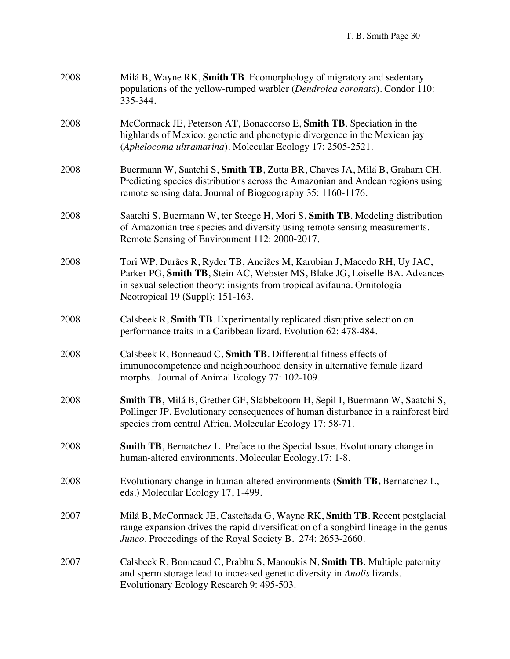| 2008 | Milá B, Wayne RK, Smith TB. Ecomorphology of migratory and sedentary<br>populations of the yellow-rumped warbler (Dendroica coronata). Condor 110:<br>335-344.                                                                                                       |
|------|----------------------------------------------------------------------------------------------------------------------------------------------------------------------------------------------------------------------------------------------------------------------|
| 2008 | McCormack JE, Peterson AT, Bonaccorso E, Smith TB. Speciation in the<br>highlands of Mexico: genetic and phenotypic divergence in the Mexican jay<br>(Aphelocoma ultramarina). Molecular Ecology 17: 2505-2521.                                                      |
| 2008 | Buermann W, Saatchi S, Smith TB, Zutta BR, Chaves JA, Milá B, Graham CH.<br>Predicting species distributions across the Amazonian and Andean regions using<br>remote sensing data. Journal of Biogeography 35: 1160-1176.                                            |
| 2008 | Saatchi S, Buermann W, ter Steege H, Mori S, Smith TB. Modeling distribution<br>of Amazonian tree species and diversity using remote sensing measurements.<br>Remote Sensing of Environment 112: 2000-2017.                                                          |
| 2008 | Tori WP, Durães R, Ryder TB, Anciães M, Karubian J, Macedo RH, Uy JAC,<br>Parker PG, Smith TB, Stein AC, Webster MS, Blake JG, Loiselle BA. Advances<br>in sexual selection theory: insights from tropical avifauna. Ornitología<br>Neotropical 19 (Suppl): 151-163. |
| 2008 | Calsbeek R, Smith TB. Experimentally replicated disruptive selection on<br>performance traits in a Caribbean lizard. Evolution 62: 478-484.                                                                                                                          |
| 2008 | Calsbeek R, Bonneaud C, Smith TB. Differential fitness effects of<br>immunocompetence and neighbourhood density in alternative female lizard<br>morphs. Journal of Animal Ecology 77: 102-109.                                                                       |
| 2008 | Smith TB, Milá B, Grether GF, Slabbekoorn H, Sepil I, Buermann W, Saatchi S,<br>Pollinger JP. Evolutionary consequences of human disturbance in a rainforest bird<br>species from central Africa. Molecular Ecology 17: 58-71.                                       |
| 2008 | <b>Smith TB</b> , Bernatchez L. Preface to the Special Issue. Evolutionary change in<br>human-altered environments. Molecular Ecology.17: 1-8.                                                                                                                       |
| 2008 | Evolutionary change in human-altered environments (Smith TB, Bernatchez L,<br>eds.) Molecular Ecology 17, 1-499.                                                                                                                                                     |
| 2007 | Milá B, McCormack JE, Casteñada G, Wayne RK, Smith TB. Recent postglacial<br>range expansion drives the rapid diversification of a songbird lineage in the genus<br>Junco. Proceedings of the Royal Society B. 274: 2653-2660.                                       |
| 2007 | Calsbeek R, Bonneaud C, Prabhu S, Manoukis N, Smith TB. Multiple paternity<br>and sperm storage lead to increased genetic diversity in Anolis lizards.<br>Evolutionary Ecology Research 9: 495-503.                                                                  |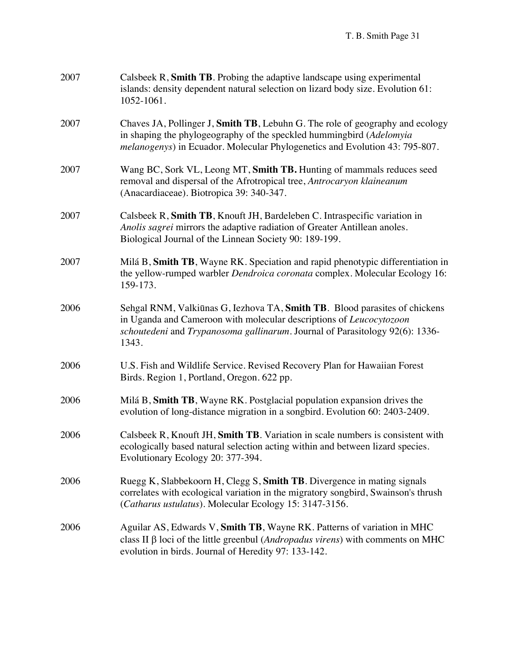| 2007 | Calsbeek R, Smith TB. Probing the adaptive landscape using experimental<br>islands: density dependent natural selection on lizard body size. Evolution 61:<br>1052-1061.                                                                     |
|------|----------------------------------------------------------------------------------------------------------------------------------------------------------------------------------------------------------------------------------------------|
| 2007 | Chaves JA, Pollinger J, Smith TB, Lebuhn G. The role of geography and ecology<br>in shaping the phylogeography of the speckled hummingbird (Adelomyia<br><i>melanogenys</i> ) in Ecuador. Molecular Phylogenetics and Evolution 43: 795-807. |
| 2007 | Wang BC, Sork VL, Leong MT, Smith TB. Hunting of mammals reduces seed<br>removal and dispersal of the Afrotropical tree, Antrocaryon klaineanum<br>(Anacardiaceae). Biotropica 39: 340-347.                                                  |
| 2007 | Calsbeek R, Smith TB, Knouft JH, Bardeleben C. Intraspecific variation in<br>Anolis sagrei mirrors the adaptive radiation of Greater Antillean anoles.<br>Biological Journal of the Linnean Society 90: 189-199.                             |
| 2007 | Milá B, Smith TB, Wayne RK. Speciation and rapid phenotypic differentiation in<br>the yellow-rumped warbler <i>Dendroica coronata</i> complex. Molecular Ecology 16:<br>159-173.                                                             |
| 2006 | Sehgal RNM, Valkiūnas G, Iezhova TA, Smith TB. Blood parasites of chickens<br>in Uganda and Cameroon with molecular descriptions of Leucocytozoon<br>schoutedeni and Trypanosoma gallinarum. Journal of Parasitology 92(6): 1336-<br>1343.   |
| 2006 | U.S. Fish and Wildlife Service. Revised Recovery Plan for Hawaiian Forest<br>Birds. Region 1, Portland, Oregon. 622 pp.                                                                                                                      |
| 2006 | Milá B, Smith TB, Wayne RK. Postglacial population expansion drives the<br>evolution of long-distance migration in a songbird. Evolution 60: 2403-2409.                                                                                      |
| 2006 | Calsbeek R, Knouft JH, Smith TB. Variation in scale numbers is consistent with<br>ecologically based natural selection acting within and between lizard species.<br>Evolutionary Ecology 20: 377-394.                                        |
| 2006 | Ruegg K, Slabbekoorn H, Clegg S, Smith TB. Divergence in mating signals<br>correlates with ecological variation in the migratory songbird, Swainson's thrush<br>(Catharus ustulatus). Molecular Ecology 15: 3147-3156.                       |
| 2006 | Aguilar AS, Edwards V, Smith TB, Wayne RK. Patterns of variation in MHC<br>class II $\beta$ loci of the little greenbul ( <i>Andropadus virens</i> ) with comments on MHC<br>evolution in birds. Journal of Heredity 97: 133-142.            |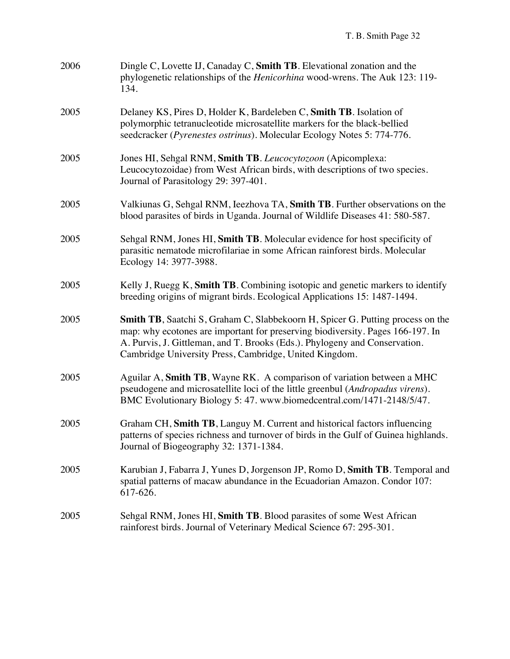| 2006 | Dingle C, Lovette IJ, Canaday C, Smith TB. Elevational zonation and the<br>phylogenetic relationships of the <i>Henicorhina</i> wood-wrens. The Auk 123: 119-<br>134.                                                                                                                                    |
|------|----------------------------------------------------------------------------------------------------------------------------------------------------------------------------------------------------------------------------------------------------------------------------------------------------------|
| 2005 | Delaney KS, Pires D, Holder K, Bardeleben C, Smith TB. Isolation of<br>polymorphic tetranucleotide microsatellite markers for the black-bellied<br>seedcracker (Pyrenestes ostrinus). Molecular Ecology Notes 5: 774-776.                                                                                |
| 2005 | Jones HI, Sehgal RNM, Smith TB. Leucocytozoon (Apicomplexa:<br>Leucocytozoidae) from West African birds, with descriptions of two species.<br>Journal of Parasitology 29: 397-401.                                                                                                                       |
| 2005 | Valkiunas G, Sehgal RNM, Ieezhova TA, Smith TB. Further observations on the<br>blood parasites of birds in Uganda. Journal of Wildlife Diseases 41: 580-587.                                                                                                                                             |
| 2005 | Sehgal RNM, Jones HI, Smith TB. Molecular evidence for host specificity of<br>parasitic nematode microfilariae in some African rainforest birds. Molecular<br>Ecology 14: 3977-3988.                                                                                                                     |
| 2005 | Kelly J, Ruegg K, Smith TB. Combining isotopic and genetic markers to identify<br>breeding origins of migrant birds. Ecological Applications 15: 1487-1494.                                                                                                                                              |
| 2005 | Smith TB, Saatchi S, Graham C, Slabbekoorn H, Spicer G. Putting process on the<br>map: why ecotones are important for preserving biodiversity. Pages 166-197. In<br>A. Purvis, J. Gittleman, and T. Brooks (Eds.). Phylogeny and Conservation.<br>Cambridge University Press, Cambridge, United Kingdom. |
| 2005 | Aguilar A, Smith TB, Wayne RK. A comparison of variation between a MHC<br>pseudogene and microsatellite loci of the little greenbul (Andropadus virens).<br>BMC Evolutionary Biology 5: 47. www.biomedcentral.com/1471-2148/5/47.                                                                        |
| 2005 | Graham CH, Smith TB, Languy M. Current and historical factors influencing<br>patterns of species richness and turnover of birds in the Gulf of Guinea highlands.<br>Journal of Biogeography 32: 1371-1384.                                                                                               |
| 2005 | Karubian J, Fabarra J, Yunes D, Jorgenson JP, Romo D, Smith TB. Temporal and<br>spatial patterns of macaw abundance in the Ecuadorian Amazon. Condor 107:<br>617-626.                                                                                                                                    |
| 2005 | Sehgal RNM, Jones HI, Smith TB. Blood parasites of some West African<br>rainforest birds. Journal of Veterinary Medical Science 67: 295-301.                                                                                                                                                             |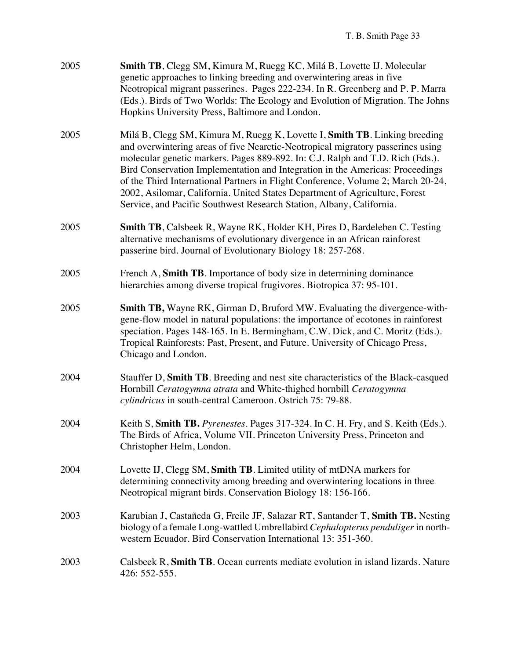| 2005 | <b>Smith TB</b> , Clegg SM, Kimura M, Ruegg KC, Milá B, Lovette IJ. Molecular  |
|------|--------------------------------------------------------------------------------|
|      | genetic approaches to linking breeding and overwintering areas in five         |
|      | Neotropical migrant passerines. Pages 222-234. In R. Greenberg and P. P. Marra |
|      | (Eds.). Birds of Two Worlds: The Ecology and Evolution of Migration. The Johns |
|      | Hopkins University Press, Baltimore and London.                                |
|      |                                                                                |

- 2005 Milá B, Clegg SM, Kimura M, Ruegg K, Lovette I, **Smith TB**. Linking breeding and overwintering areas of five Nearctic-Neotropical migratory passerines using molecular genetic markers. Pages 889-892. In: C.J. Ralph and T.D. Rich (Eds.). Bird Conservation Implementation and Integration in the Americas: Proceedings of the Third International Partners in Flight Conference, Volume 2; March 20-24, 2002, Asilomar, California. United States Department of Agriculture, Forest Service, and Pacific Southwest Research Station, Albany, California.
- 2005 **Smith TB**, Calsbeek R, Wayne RK, Holder KH, Pires D, Bardeleben C. Testing alternative mechanisms of evolutionary divergence in an African rainforest passerine bird. Journal of Evolutionary Biology 18: 257-268.
- 2005 French A, **Smith TB**. Importance of body size in determining dominance hierarchies among diverse tropical frugivores. Biotropica 37: 95-101.
- 2005 **Smith TB,** Wayne RK, Girman D, Bruford MW. Evaluating the divergence-withgene-flow model in natural populations: the importance of ecotones in rainforest speciation. Pages 148-165. In E. Bermingham, C.W. Dick, and C. Moritz (Eds.). Tropical Rainforests: Past, Present, and Future. University of Chicago Press, Chicago and London.
- 2004 Stauffer D, **Smith TB**. Breeding and nest site characteristics of the Black-casqued Hornbill *Ceratogymna atrata* and White-thighed hornbill *Ceratogymna cylindricus* in south-central Cameroon. Ostrich 75: 79-88.
- 2004 Keith S, **Smith TB.** *Pyrenestes*. Pages 317-324. In C. H. Fry, and S. Keith (Eds.). The Birds of Africa, Volume VII. Princeton University Press, Princeton and Christopher Helm, London.
- 2004 Lovette IJ, Clegg SM, **Smith TB**. Limited utility of mtDNA markers for determining connectivity among breeding and overwintering locations in three Neotropical migrant birds. Conservation Biology 18: 156-166.
- 2003 Karubian J, Castañeda G, Freile JF, Salazar RT, Santander T, **Smith TB.** Nesting biology of a female Long-wattled Umbrellabird *Cephalopterus penduliger*in northwestern Ecuador. Bird Conservation International 13: 351-360.
- 2003 Calsbeek R, **Smith TB**. Ocean currents mediate evolution in island lizards. Nature 426: 552-555.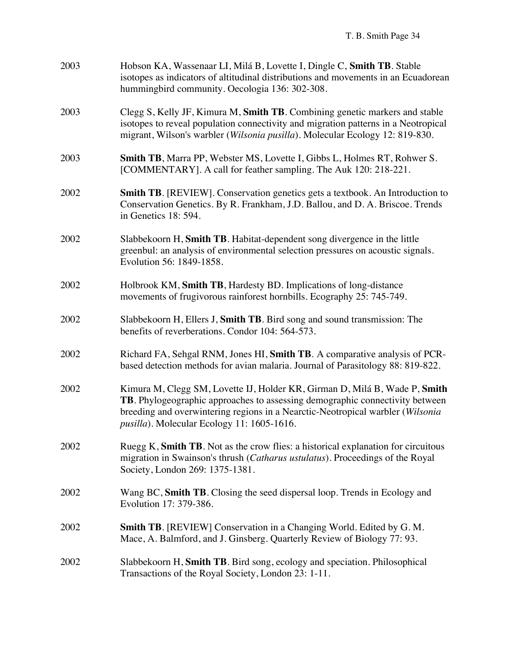| 2003 | Hobson KA, Wassenaar LI, Milá B, Lovette I, Dingle C, Smith TB. Stable<br>isotopes as indicators of altitudinal distributions and movements in an Ecuadorean<br>hummingbird community. Oecologia 136: 302-308.                                                                             |
|------|--------------------------------------------------------------------------------------------------------------------------------------------------------------------------------------------------------------------------------------------------------------------------------------------|
| 2003 | Clegg S, Kelly JF, Kimura M, Smith TB. Combining genetic markers and stable<br>isotopes to reveal population connectivity and migration patterns in a Neotropical<br>migrant, Wilson's warbler (Wilsonia pusilla). Molecular Ecology 12: 819-830.                                          |
| 2003 | Smith TB, Marra PP, Webster MS, Lovette I, Gibbs L, Holmes RT, Rohwer S.<br>[COMMENTARY]. A call for feather sampling. The Auk 120: 218-221.                                                                                                                                               |
| 2002 | <b>Smith TB.</b> [REVIEW]. Conservation genetics gets a textbook. An Introduction to<br>Conservation Genetics. By R. Frankham, J.D. Ballou, and D. A. Briscoe. Trends<br>in Genetics 18: 594.                                                                                              |
| 2002 | Slabbekoorn H, Smith TB. Habitat-dependent song divergence in the little<br>greenbul: an analysis of environmental selection pressures on acoustic signals.<br>Evolution 56: 1849-1858.                                                                                                    |
| 2002 | Holbrook KM, Smith TB, Hardesty BD. Implications of long-distance<br>movements of frugivorous rainforest hornbills. Ecography 25: 745-749.                                                                                                                                                 |
| 2002 | Slabbekoorn H, Ellers J, Smith TB. Bird song and sound transmission: The<br>benefits of reverberations. Condor 104: 564-573.                                                                                                                                                               |
| 2002 | Richard FA, Sehgal RNM, Jones HI, Smith TB. A comparative analysis of PCR-<br>based detection methods for avian malaria. Journal of Parasitology 88: 819-822.                                                                                                                              |
| 2002 | Kimura M, Clegg SM, Lovette IJ, Holder KR, Girman D, Milá B, Wade P, Smith<br>TB. Phylogeographic approaches to assessing demographic connectivity between<br>breeding and overwintering regions in a Nearctic-Neotropical warbler (Wilsonia<br>pusilla). Molecular Ecology 11: 1605-1616. |
| 2002 | Ruegg K, Smith TB. Not as the crow flies: a historical explanation for circuitous<br>migration in Swainson's thrush (Catharus ustulatus). Proceedings of the Royal<br>Society, London 269: 1375-1381.                                                                                      |
| 2002 | Wang BC, Smith TB. Closing the seed dispersal loop. Trends in Ecology and<br>Evolution 17: 379-386.                                                                                                                                                                                        |
| 2002 | Smith TB. [REVIEW] Conservation in a Changing World. Edited by G. M.<br>Mace, A. Balmford, and J. Ginsberg. Quarterly Review of Biology 77: 93.                                                                                                                                            |
| 2002 | Slabbekoorn H, Smith TB. Bird song, ecology and speciation. Philosophical<br>Transactions of the Royal Society, London 23: 1-11.                                                                                                                                                           |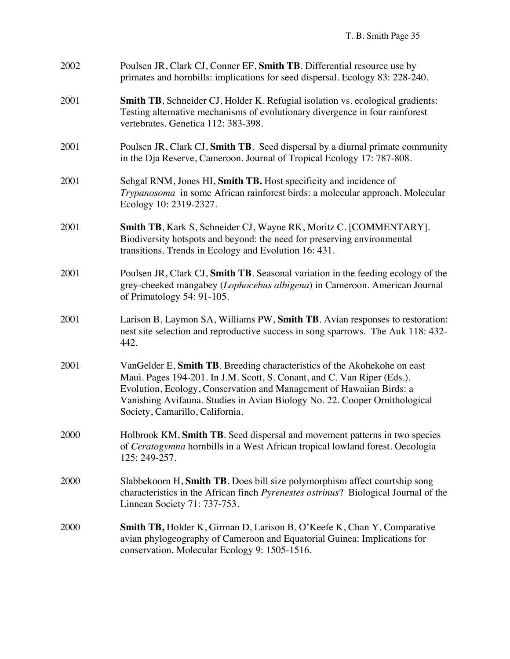| 2002 | Poulsen JR, Clark CJ, Conner EF, Smith TB. Differential resource use by<br>primates and hornbills: implications for seed dispersal. Ecology 83: 228-240.                                                                                                                                                                                     |
|------|----------------------------------------------------------------------------------------------------------------------------------------------------------------------------------------------------------------------------------------------------------------------------------------------------------------------------------------------|
| 2001 | Smith TB, Schneider CJ, Holder K. Refugial isolation vs. ecological gradients:<br>Testing alternative mechanisms of evolutionary divergence in four rainforest<br>vertebrates. Genetica 112: 383-398.                                                                                                                                        |
| 2001 | Poulsen JR, Clark CJ, Smith TB. Seed dispersal by a diurnal primate community<br>in the Dja Reserve, Cameroon. Journal of Tropical Ecology 17: 787-808.                                                                                                                                                                                      |
| 2001 | Sehgal RNM, Jones HI, Smith TB. Host specificity and incidence of<br>Trypanosoma in some African rainforest birds: a molecular approach. Molecular<br>Ecology 10: 2319-2327.                                                                                                                                                                 |
| 2001 | <b>Smith TB, Kark S, Schneider CJ, Wayne RK, Moritz C. [COMMENTARY].</b><br>Biodiversity hotspots and beyond: the need for preserving environmental<br>transitions. Trends in Ecology and Evolution 16: 431.                                                                                                                                 |
| 2001 | Poulsen JR, Clark CJ, Smith TB. Seasonal variation in the feeding ecology of the<br>grey-cheeked mangabey (Lophocebus albigena) in Cameroon. American Journal<br>of Primatology 54: 91-105.                                                                                                                                                  |
| 2001 | Larison B, Laymon SA, Williams PW, Smith TB. Avian responses to restoration:<br>nest site selection and reproductive success in song sparrows. The Auk 118:432-<br>442.                                                                                                                                                                      |
| 2001 | VanGelder E, Smith TB. Breeding characteristics of the Akohekohe on east<br>Maui. Pages 194-201. In J.M. Scott, S. Conant, and C. Van Riper (Eds.).<br>Evolution, Ecology, Conservation and Management of Hawaiian Birds: a<br>Vanishing Avifauna. Studies in Avian Biology No. 22. Cooper Ornithological<br>Society, Camarillo, California. |
| 2000 | Holbrook KM, Smith TB. Seed dispersal and movement patterns in two species<br>of Ceratogymna hornbills in a West African tropical lowland forest. Oecologia<br>125: 249-257.                                                                                                                                                                 |
| 2000 | Slabbekoorn H, Smith TB. Does bill size polymorphism affect courtship song<br>characteristics in the African finch Pyrenestes ostrinus? Biological Journal of the<br>Linnean Society 71: 737-753.                                                                                                                                            |
| 2000 | <b>Smith TB, Holder K, Girman D, Larison B, O'Keefe K, Chan Y. Comparative</b><br>avian phylogeography of Cameroon and Equatorial Guinea: Implications for<br>conservation. Molecular Ecology 9: 1505-1516.                                                                                                                                  |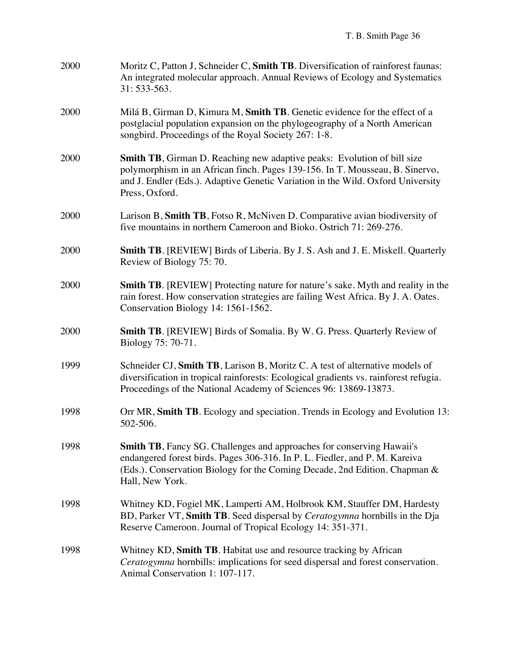| 2000 | Moritz C, Patton J, Schneider C, Smith TB. Diversification of rainforest faunas:<br>An integrated molecular approach. Annual Reviews of Ecology and Systematics<br>31: 533-563.                                                                                      |
|------|----------------------------------------------------------------------------------------------------------------------------------------------------------------------------------------------------------------------------------------------------------------------|
| 2000 | Milá B, Girman D, Kimura M, Smith TB. Genetic evidence for the effect of a<br>postglacial population expansion on the phylogeography of a North American<br>songbird. Proceedings of the Royal Society 267: 1-8.                                                     |
| 2000 | <b>Smith TB</b> , Girman D. Reaching new adaptive peaks: Evolution of bill size<br>polymorphism in an African finch. Pages 139-156. In T. Mousseau, B. Sinervo,<br>and J. Endler (Eds.). Adaptive Genetic Variation in the Wild. Oxford University<br>Press, Oxford. |
| 2000 | Larison B, Smith TB, Fotso R, McNiven D. Comparative avian biodiversity of<br>five mountains in northern Cameroon and Bioko. Ostrich 71: 269-276.                                                                                                                    |
| 2000 | <b>Smith TB.</b> [REVIEW] Birds of Liberia. By J. S. Ash and J. E. Miskell. Quarterly<br>Review of Biology 75: 70.                                                                                                                                                   |
| 2000 | <b>Smith TB.</b> [REVIEW] Protecting nature for nature's sake. Myth and reality in the<br>rain forest. How conservation strategies are failing West Africa. By J. A. Oates.<br>Conservation Biology 14: 1561-1562.                                                   |
| 2000 | <b>Smith TB.</b> [REVIEW] Birds of Somalia. By W. G. Press. Quarterly Review of<br>Biology 75: 70-71.                                                                                                                                                                |
| 1999 | Schneider CJ, Smith TB, Larison B, Moritz C. A test of alternative models of<br>diversification in tropical rainforests: Ecological gradients vs. rainforest refugia.<br>Proceedings of the National Academy of Sciences 96: 13869-13873.                            |
| 1998 | Orr MR, Smith TB. Ecology and speciation. Trends in Ecology and Evolution 13:<br>502-506.                                                                                                                                                                            |
| 1998 | <b>Smith TB</b> , Fancy SG. Challenges and approaches for conserving Hawaii's<br>endangered forest birds. Pages 306-316. In P. L. Fiedler, and P. M. Kareiva<br>(Eds.). Conservation Biology for the Coming Decade, 2nd Edition. Chapman &<br>Hall, New York.        |
| 1998 | Whitney KD, Fogiel MK, Lamperti AM, Holbrook KM, Stauffer DM, Hardesty<br>BD, Parker VT, Smith TB. Seed dispersal by Ceratogymna hornbills in the Dja<br>Reserve Cameroon. Journal of Tropical Ecology 14: 351-371.                                                  |
| 1998 | Whitney KD, Smith TB. Habitat use and resource tracking by African<br>Ceratogymna hornbills: implications for seed dispersal and forest conservation.<br>Animal Conservation 1: 107-117.                                                                             |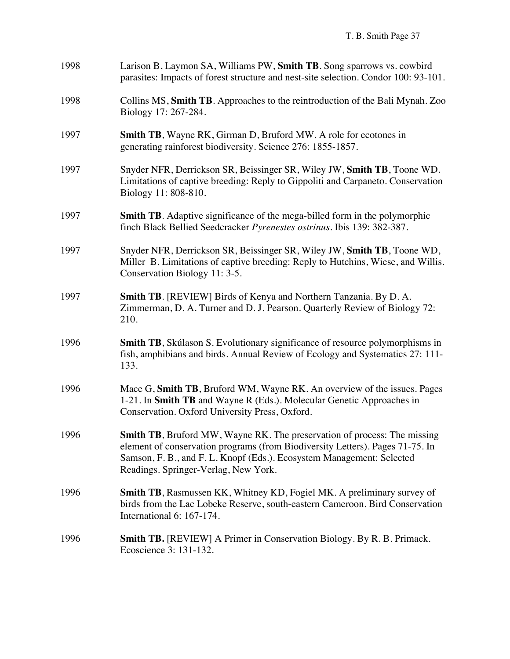| 1998 | Larison B, Laymon SA, Williams PW, Smith TB. Song sparrows vs. cowbird<br>parasites: Impacts of forest structure and nest-site selection. Condor 100: 93-101.                                                                                                                      |
|------|------------------------------------------------------------------------------------------------------------------------------------------------------------------------------------------------------------------------------------------------------------------------------------|
| 1998 | Collins MS, Smith TB. Approaches to the reintroduction of the Bali Mynah. Zoo<br>Biology 17: 267-284.                                                                                                                                                                              |
| 1997 | <b>Smith TB</b> , Wayne RK, Girman D, Bruford MW. A role for ecotones in<br>generating rainforest biodiversity. Science 276: 1855-1857.                                                                                                                                            |
| 1997 | Snyder NFR, Derrickson SR, Beissinger SR, Wiley JW, Smith TB, Toone WD.<br>Limitations of captive breeding: Reply to Gippoliti and Carpaneto. Conservation<br>Biology 11: 808-810.                                                                                                 |
| 1997 | <b>Smith TB.</b> Adaptive significance of the mega-billed form in the polymorphic<br>finch Black Bellied Seedcracker Pyrenestes ostrinus. Ibis 139: 382-387.                                                                                                                       |
| 1997 | Snyder NFR, Derrickson SR, Beissinger SR, Wiley JW, Smith TB, Toone WD,<br>Miller B. Limitations of captive breeding: Reply to Hutchins, Wiese, and Willis.<br>Conservation Biology 11: 3-5.                                                                                       |
| 1997 | Smith TB. [REVIEW] Birds of Kenya and Northern Tanzania. By D. A.<br>Zimmerman, D. A. Turner and D. J. Pearson. Quarterly Review of Biology 72:<br>210.                                                                                                                            |
| 1996 | Smith TB, Skúlason S. Evolutionary significance of resource polymorphisms in<br>fish, amphibians and birds. Annual Review of Ecology and Systematics 27: 111-<br>133.                                                                                                              |
| 1996 | Mace G, Smith TB, Bruford WM, Wayne RK. An overview of the issues. Pages<br>1-21. In Smith TB and Wayne R (Eds.). Molecular Genetic Approaches in<br>Conservation. Oxford University Press, Oxford.                                                                                |
| 1996 | <b>Smith TB</b> , Bruford MW, Wayne RK. The preservation of process: The missing<br>element of conservation programs (from Biodiversity Letters). Pages 71-75. In<br>Samson, F. B., and F. L. Knopf (Eds.). Ecosystem Management: Selected<br>Readings. Springer-Verlag, New York. |
| 1996 | Smith TB, Rasmussen KK, Whitney KD, Fogiel MK. A preliminary survey of<br>birds from the Lac Lobeke Reserve, south-eastern Cameroon. Bird Conservation<br>International 6: 167-174.                                                                                                |
| 1996 | <b>Smith TB.</b> [REVIEW] A Primer in Conservation Biology. By R. B. Primack.<br>Ecoscience 3: 131-132.                                                                                                                                                                            |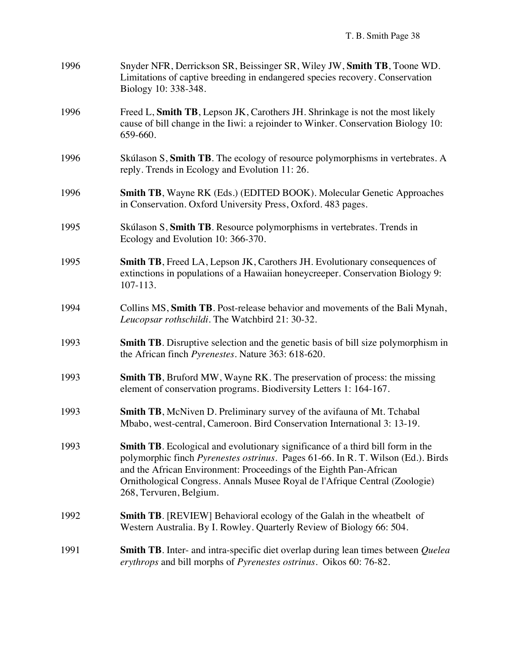| 1996 | Snyder NFR, Derrickson SR, Beissinger SR, Wiley JW, Smith TB, Toone WD.<br>Limitations of captive breeding in endangered species recovery. Conservation<br>Biology 10: 338-348.                                                                                                                                                                           |
|------|-----------------------------------------------------------------------------------------------------------------------------------------------------------------------------------------------------------------------------------------------------------------------------------------------------------------------------------------------------------|
| 1996 | Freed L, Smith TB, Lepson JK, Carothers JH. Shrinkage is not the most likely<br>cause of bill change in the Iiwi: a rejoinder to Winker. Conservation Biology 10:<br>659-660.                                                                                                                                                                             |
| 1996 | Skúlason S, Smith TB. The ecology of resource polymorphisms in vertebrates. A<br>reply. Trends in Ecology and Evolution 11:26.                                                                                                                                                                                                                            |
| 1996 | <b>Smith TB</b> , Wayne RK (Eds.) (EDITED BOOK). Molecular Genetic Approaches<br>in Conservation. Oxford University Press, Oxford. 483 pages.                                                                                                                                                                                                             |
| 1995 | Skúlason S, Smith TB. Resource polymorphisms in vertebrates. Trends in<br>Ecology and Evolution 10: 366-370.                                                                                                                                                                                                                                              |
| 1995 | Smith TB, Freed LA, Lepson JK, Carothers JH. Evolutionary consequences of<br>extinctions in populations of a Hawaiian honeycreeper. Conservation Biology 9:<br>107-113.                                                                                                                                                                                   |
| 1994 | Collins MS, Smith TB. Post-release behavior and movements of the Bali Mynah,<br>Leucopsar rothschildi. The Watchbird 21: 30-32.                                                                                                                                                                                                                           |
| 1993 | <b>Smith TB</b> . Disruptive selection and the genetic basis of bill size polymorphism in<br>the African finch Pyrenestes. Nature 363: 618-620.                                                                                                                                                                                                           |
| 1993 | <b>Smith TB</b> , Bruford MW, Wayne RK. The preservation of process: the missing<br>element of conservation programs. Biodiversity Letters 1: 164-167.                                                                                                                                                                                                    |
| 1993 | <b>Smith TB</b> , McNiven D. Preliminary survey of the avifauna of Mt. Tchabal<br>Mbabo, west-central, Cameroon. Bird Conservation International 3: 13-19.                                                                                                                                                                                                |
| 1993 | <b>Smith TB.</b> Ecological and evolutionary significance of a third bill form in the<br>polymorphic finch Pyrenestes ostrinus. Pages 61-66. In R. T. Wilson (Ed.). Birds<br>and the African Environment: Proceedings of the Eighth Pan-African<br>Ornithological Congress. Annals Musee Royal de l'Afrique Central (Zoologie)<br>268, Tervuren, Belgium. |
| 1992 | <b>Smith TB.</b> [REVIEW] Behavioral ecology of the Galah in the wheatbelt of<br>Western Australia. By I. Rowley. Quarterly Review of Biology 66: 504.                                                                                                                                                                                                    |
| 1991 | <b>Smith TB</b> . Inter- and intra-specific diet overlap during lean times between <i>Quelea</i><br>erythrops and bill morphs of Pyrenestes ostrinus. Oikos 60: 76-82.                                                                                                                                                                                    |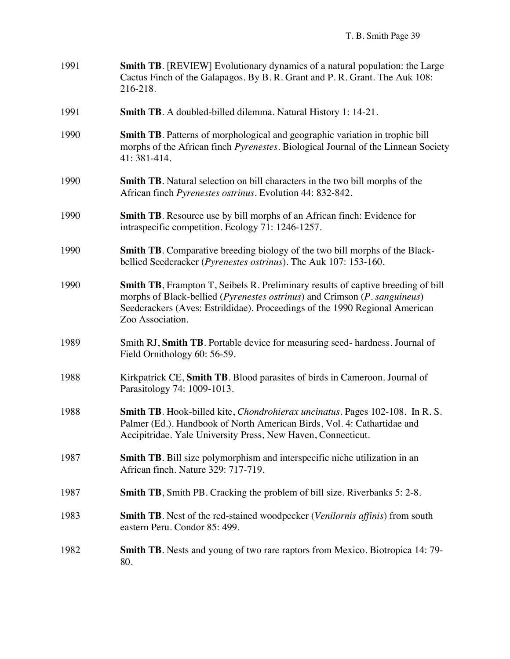| 1991 | <b>Smith TB.</b> [REVIEW] Evolutionary dynamics of a natural population: the Large<br>Cactus Finch of the Galapagos. By B. R. Grant and P. R. Grant. The Auk 108:<br>216-218.                                                                                            |
|------|--------------------------------------------------------------------------------------------------------------------------------------------------------------------------------------------------------------------------------------------------------------------------|
| 1991 | <b>Smith TB.</b> A doubled-billed dilemma. Natural History 1: 14-21.                                                                                                                                                                                                     |
| 1990 | Smith TB. Patterns of morphological and geographic variation in trophic bill<br>morphs of the African finch <i>Pyrenestes</i> . Biological Journal of the Linnean Society<br>41: 381-414.                                                                                |
| 1990 | Smith TB. Natural selection on bill characters in the two bill morphs of the<br>African finch Pyrenestes ostrinus. Evolution 44: 832-842.                                                                                                                                |
| 1990 | Smith TB. Resource use by bill morphs of an African finch: Evidence for<br>intraspecific competition. Ecology 71: 1246-1257.                                                                                                                                             |
| 1990 | <b>Smith TB.</b> Comparative breeding biology of the two bill morphs of the Black-<br>bellied Seedcracker (Pyrenestes ostrinus). The Auk 107: 153-160.                                                                                                                   |
| 1990 | <b>Smith TB</b> , Frampton T, Seibels R. Preliminary results of captive breeding of bill<br>morphs of Black-bellied (Pyrenestes ostrinus) and Crimson (P. sanguineus)<br>Seedcrackers (Aves: Estrildidae). Proceedings of the 1990 Regional American<br>Zoo Association. |
| 1989 | Smith RJ, Smith TB. Portable device for measuring seed- hardness. Journal of<br>Field Ornithology 60: 56-59.                                                                                                                                                             |
| 1988 | Kirkpatrick CE, Smith TB. Blood parasites of birds in Cameroon. Journal of<br>Parasitology 74: 1009-1013.                                                                                                                                                                |
| 1988 | Smith TB. Hook-billed kite, <i>Chondrohierax uncinatus</i> . Pages 102-108. In R. S.<br>Palmer (Ed.). Handbook of North American Birds, Vol. 4: Cathartidae and<br>Accipitridae. Yale University Press, New Haven, Connecticut.                                          |
| 1987 | Smith TB. Bill size polymorphism and interspecific niche utilization in an<br>African finch. Nature 329: 717-719.                                                                                                                                                        |
| 1987 | <b>Smith TB</b> , Smith PB. Cracking the problem of bill size. Riverbanks 5: 2-8.                                                                                                                                                                                        |
| 1983 | <b>Smith TB</b> . Nest of the red-stained woodpecker ( <i>Venilornis affinis</i> ) from south<br>eastern Peru. Condor 85: 499.                                                                                                                                           |
| 1982 | <b>Smith TB.</b> Nests and young of two rare raptors from Mexico. Biotropica 14:79-<br>80.                                                                                                                                                                               |